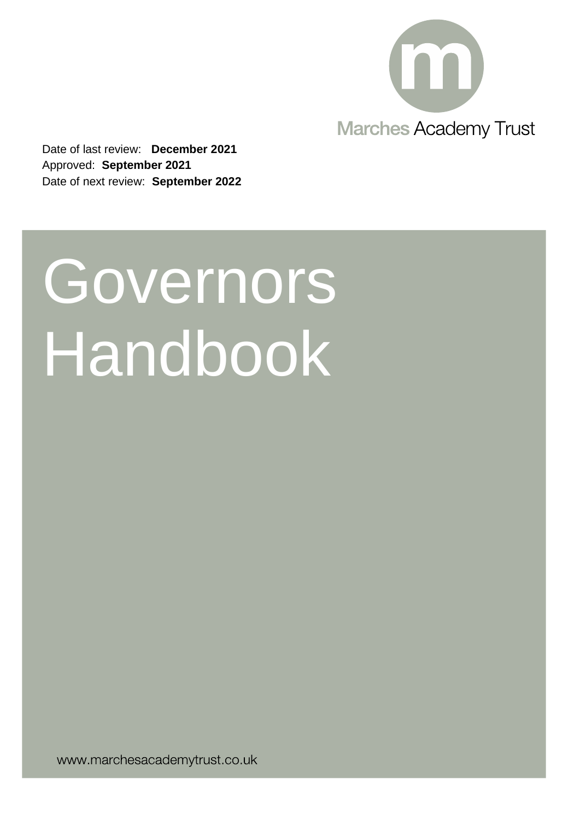

Date of last review: **December 2021** Approved: **September 2021** Date of next review: **September 2022**

# **Governors Handbook**

www.marchesacademytrust.co.uk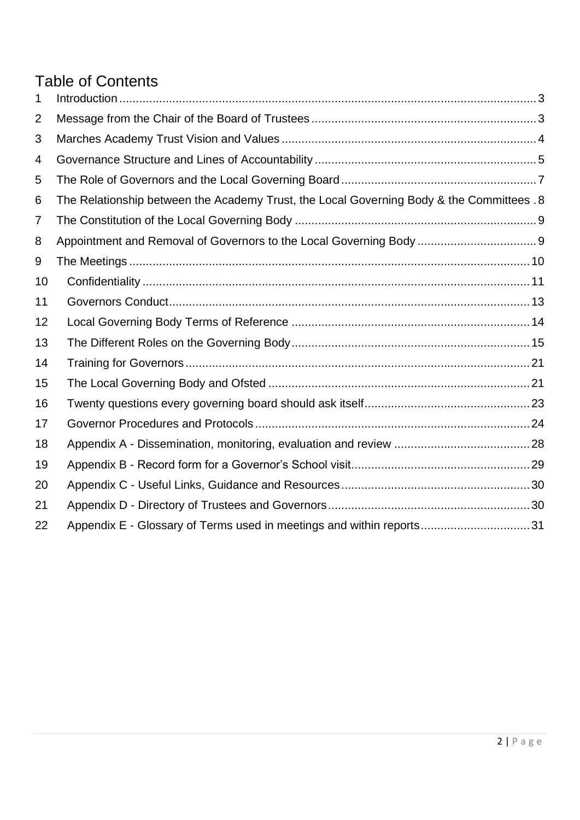# Table of Contents

| 1              |                                                                                           |
|----------------|-------------------------------------------------------------------------------------------|
| $\overline{2}$ |                                                                                           |
| 3              |                                                                                           |
| 4              |                                                                                           |
| 5              |                                                                                           |
| 6              | The Relationship between the Academy Trust, the Local Governing Body & the Committees . 8 |
| 7              |                                                                                           |
| 8              | Appointment and Removal of Governors to the Local Governing Body  9                       |
| 9              |                                                                                           |
| 10             |                                                                                           |
| 11             |                                                                                           |
| 12             |                                                                                           |
| 13             |                                                                                           |
| 14             |                                                                                           |
| 15             |                                                                                           |
| 16             |                                                                                           |
| 17             |                                                                                           |
| 18             |                                                                                           |
| 19             |                                                                                           |
| 20             |                                                                                           |
| 21             |                                                                                           |
| 22             |                                                                                           |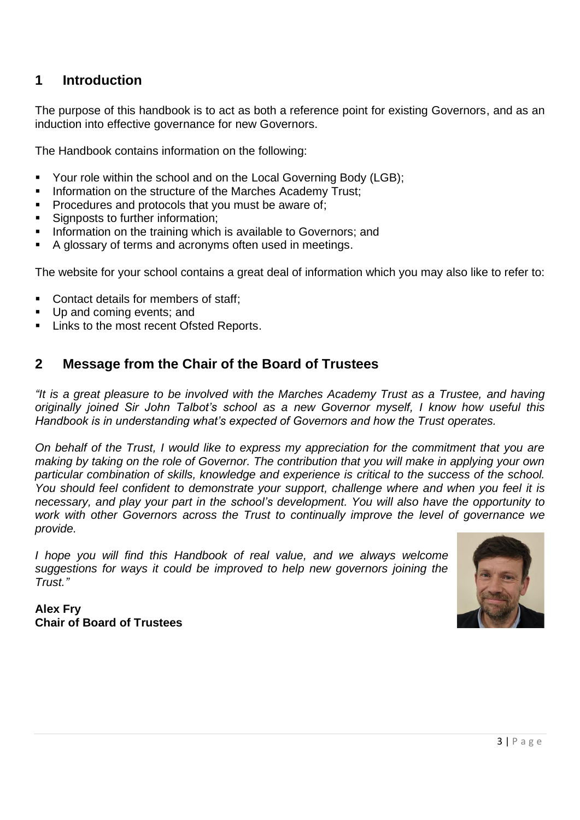## <span id="page-2-0"></span>**1 Introduction**

The purpose of this handbook is to act as both a reference point for existing Governors, and as an induction into effective governance for new Governors.

The Handbook contains information on the following:

- Your role within the school and on the Local Governing Body (LGB);
- Information on the structure of the Marches Academy Trust;
- Procedures and protocols that you must be aware of:
- Signposts to further information;
- Information on the training which is available to Governors; and
- A glossary of terms and acronyms often used in meetings.

The website for your school contains a great deal of information which you may also like to refer to:

- Contact details for members of staff;
- Up and coming events; and
- <span id="page-2-1"></span>Links to the most recent Ofsted Reports.

## **2 Message from the Chair of the Board of Trustees**

*"It is a great pleasure to be involved with the Marches Academy Trust as a Trustee, and having originally joined Sir John Talbot's school as a new Governor myself, I know how useful this Handbook is in understanding what's expected of Governors and how the Trust operates.*

*On behalf of the Trust, I would like to express my appreciation for the commitment that you are making by taking on the role of Governor. The contribution that you will make in applying your own particular combination of skills, knowledge and experience is critical to the success of the school. You should feel confident to demonstrate your support, challenge where and when you feel it is necessary, and play your part in the school's development. You will also have the opportunity to work with other Governors across the Trust to continually improve the level of governance we provide.*

*I hope you will find this Handbook of real value, and we always welcome suggestions for ways it could be improved to help new governors joining the Trust."*



**Alex Fry Chair of Board of Trustees**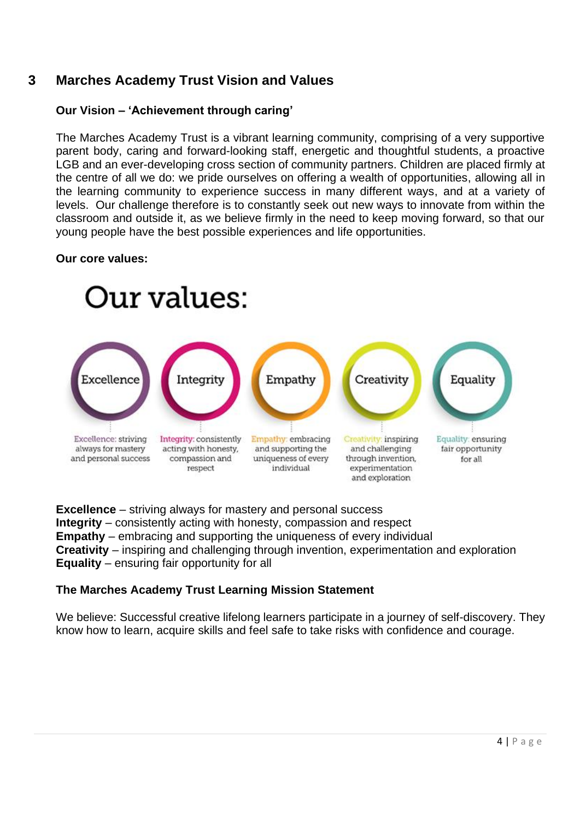## <span id="page-3-0"></span>**3 Marches Academy Trust Vision and Values**

#### **Our Vision – 'Achievement through caring'**

The Marches Academy Trust is a vibrant learning community, comprising of a very supportive parent body, caring and forward-looking staff, energetic and thoughtful students, a proactive LGB and an ever-developing cross section of community partners. Children are placed firmly at the centre of all we do: we pride ourselves on offering a wealth of opportunities, allowing all in the learning community to experience success in many different ways, and at a variety of levels. Our challenge therefore is to constantly seek out new ways to innovate from within the classroom and outside it, as we believe firmly in the need to keep moving forward, so that our young people have the best possible experiences and life opportunities.

#### **Our core values:**



**Excellence** – striving always for mastery and personal success **Integrity** – consistently acting with honesty, compassion and respect **Empathy** – embracing and supporting the uniqueness of every individual **Creativity** – inspiring and challenging through invention, experimentation and exploration **Equality** – ensuring fair opportunity for all

#### **The Marches Academy Trust Learning Mission Statement**

We believe: Successful creative lifelong learners participate in a journey of self-discovery. They know how to learn, acquire skills and feel safe to take risks with confidence and courage.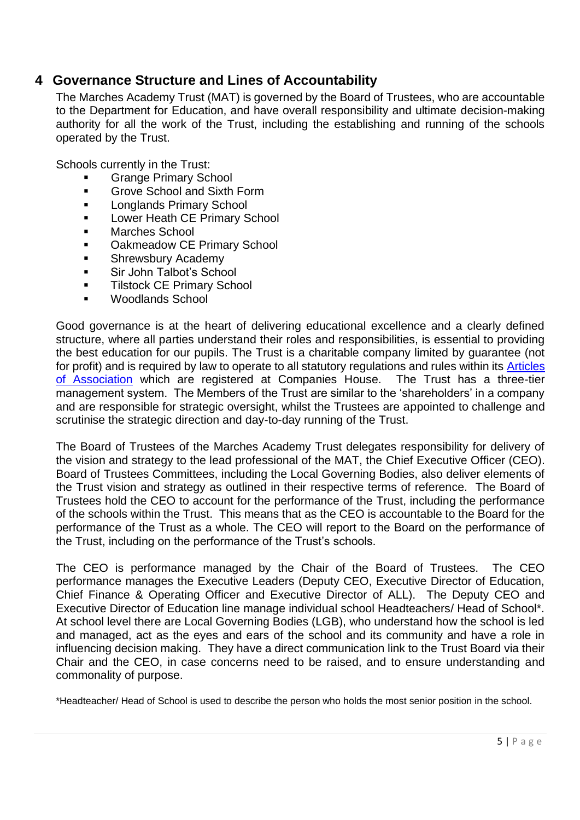## <span id="page-4-0"></span>**4 Governance Structure and Lines of Accountability**

The Marches Academy Trust (MAT) is governed by the Board of Trustees, who are accountable to the Department for Education, and have overall responsibility and ultimate decision-making authority for all the work of the Trust, including the establishing and running of the schools operated by the Trust.

Schools currently in the Trust:

- **Grange Primary School**
- Grove School and Sixth Form
- Longlands Primary School
- **EXECUTE:** Lower Heath CE Primary School
- Marches School
- Oakmeadow CE Primary School
- Shrewsbury Academy
- Sir John Talbot's School
- **■** Tilstock CE Primary School
- Woodlands School

Good governance is at the heart of delivering educational excellence and a clearly defined structure, where all parties understand their roles and responsibilities, is essential to providing the best education for our pupils. The Trust is a charitable company limited by guarantee (not for profit) and is required by law to operate to all statutory regulations and rules within its **Articles** [of Association](https://www.marchesacademytrust.co.uk/wp-content/uploads/sites/3/2017/12/Articles-of-Association-November-2017.pdf) which are registered at Companies House. The Trust has a three-tier management system. The Members of the Trust are similar to the 'shareholders' in a company and are responsible for strategic oversight, whilst the Trustees are appointed to challenge and scrutinise the strategic direction and day-to-day running of the Trust.

The Board of Trustees of the Marches Academy Trust delegates responsibility for delivery of the vision and strategy to the lead professional of the MAT, the Chief Executive Officer (CEO). Board of Trustees Committees, including the Local Governing Bodies, also deliver elements of the Trust vision and strategy as outlined in their respective terms of reference. The Board of Trustees hold the CEO to account for the performance of the Trust, including the performance of the schools within the Trust. This means that as the CEO is accountable to the Board for the performance of the Trust as a whole. The CEO will report to the Board on the performance of the Trust, including on the performance of the Trust's schools.

The CEO is performance managed by the Chair of the Board of Trustees. The CEO performance manages the Executive Leaders (Deputy CEO, Executive Director of Education, Chief Finance & Operating Officer and Executive Director of ALL). The Deputy CEO and Executive Director of Education line manage individual school Headteachers/ Head of School\*. At school level there are Local Governing Bodies (LGB), who understand how the school is led and managed, act as the eyes and ears of the school and its community and have a role in influencing decision making. They have a direct communication link to the Trust Board via their Chair and the CEO, in case concerns need to be raised, and to ensure understanding and commonality of purpose.

\*Headteacher/ Head of School is used to describe the person who holds the most senior position in the school.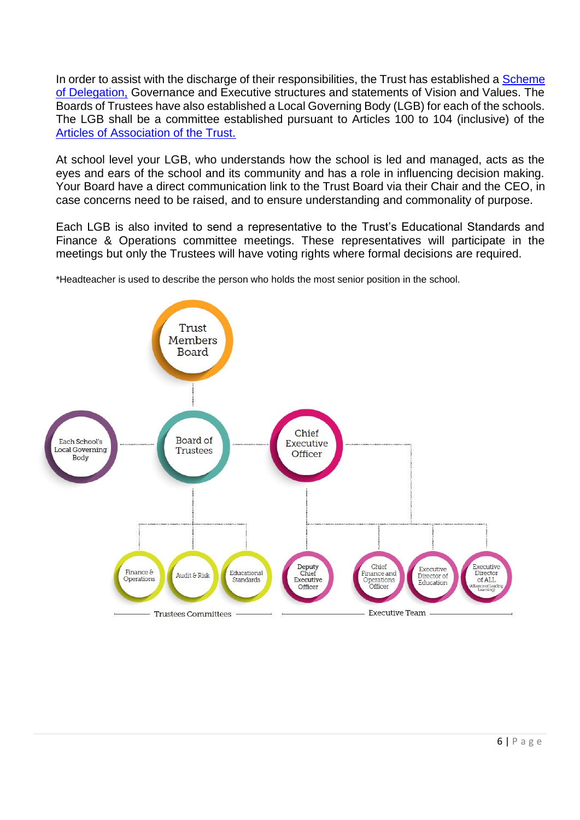In order to assist with the discharge of their responsibilities, the Trust has established a Scheme [of Delegation,](https://www.marchesacademytrust.co.uk/governance/governance-structure/) Governance and Executive structures and statements of Vision and Values. The Boards of Trustees have also established a Local Governing Body (LGB) for each of the schools. The LGB shall be a committee established pursuant to Articles 100 to 104 (inclusive) of the [Articles of Association of the Trust.](https://www.marchesacademytrust.co.uk/governance/governance-structure/)

At school level your LGB, who understands how the school is led and managed, acts as the eyes and ears of the school and its community and has a role in influencing decision making. Your Board have a direct communication link to the Trust Board via their Chair and the CEO, in case concerns need to be raised, and to ensure understanding and commonality of purpose.

Each LGB is also invited to send a representative to the Trust's Educational Standards and Finance & Operations committee meetings. These representatives will participate in the meetings but only the Trustees will have voting rights where formal decisions are required.

\*Headteacher is used to describe the person who holds the most senior position in the school.

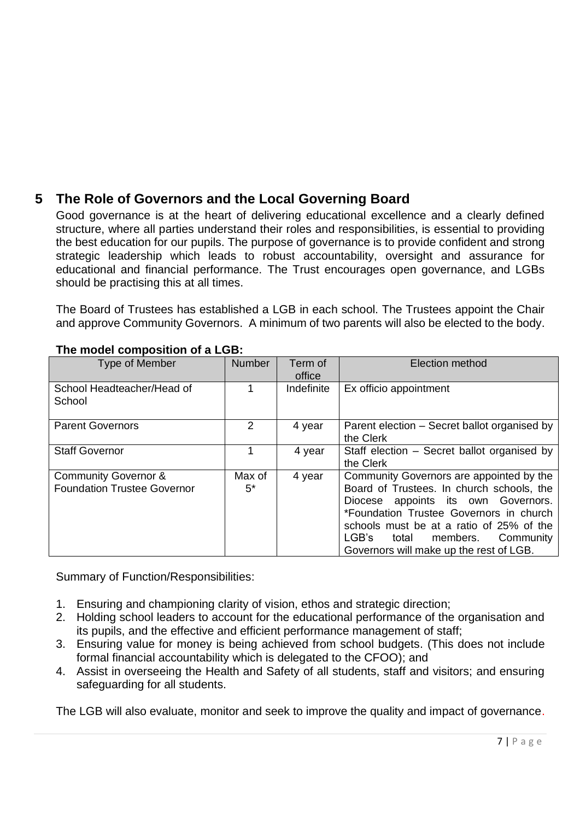## <span id="page-6-0"></span>**5 The Role of Governors and the Local Governing Board**

Good governance is at the heart of delivering educational excellence and a clearly defined structure, where all parties understand their roles and responsibilities, is essential to providing the best education for our pupils. The purpose of governance is to provide confident and strong strategic leadership which leads to robust accountability, oversight and assurance for educational and financial performance. The Trust encourages open governance, and LGBs should be practising this at all times.

The Board of Trustees has established a LGB in each school. The Trustees appoint the Chair and approve Community Governors. A minimum of two parents will also be elected to the body.

| Type of Member                                                        | <b>Number</b>  | Term of<br>office | Election method                                                                                                                                                                                                                                                                                        |
|-----------------------------------------------------------------------|----------------|-------------------|--------------------------------------------------------------------------------------------------------------------------------------------------------------------------------------------------------------------------------------------------------------------------------------------------------|
| School Headteacher/Head of<br>School                                  | 1              | Indefinite        | Ex officio appointment                                                                                                                                                                                                                                                                                 |
| <b>Parent Governors</b>                                               | $\overline{2}$ | 4 year            | Parent election – Secret ballot organised by<br>the Clerk                                                                                                                                                                                                                                              |
| <b>Staff Governor</b>                                                 |                | 4 year            | Staff election – Secret ballot organised by<br>the Clerk                                                                                                                                                                                                                                               |
| <b>Community Governor &amp;</b><br><b>Foundation Trustee Governor</b> | Max of<br>5*   | 4 year            | Community Governors are appointed by the<br>Board of Trustees. In church schools, the<br>Diocese appoints its own Governors.<br>*Foundation Trustee Governors in church<br>schools must be at a ratio of 25% of the<br>LGB's<br>members. Community<br>total<br>Governors will make up the rest of LGB. |

#### **The model composition of a LGB:**

Summary of Function/Responsibilities:

- 1. Ensuring and championing clarity of vision, ethos and strategic direction;
- 2. Holding school leaders to account for the educational performance of the organisation and its pupils, and the effective and efficient performance management of staff;
- 3. Ensuring value for money is being achieved from school budgets. (This does not include formal financial accountability which is delegated to the CFOO); and
- 4. Assist in overseeing the Health and Safety of all students, staff and visitors; and ensuring safeguarding for all students.

The LGB will also evaluate, monitor and seek to improve the quality and impact of governance.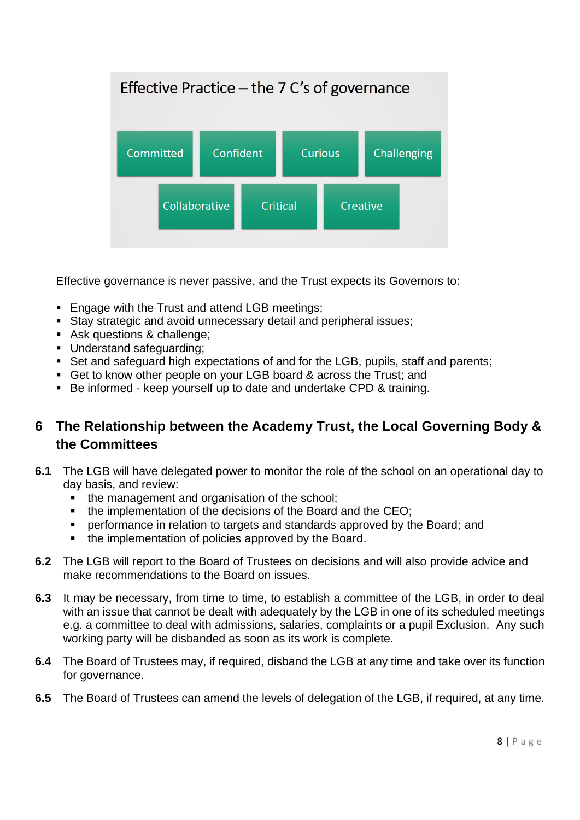

Effective governance is never passive, and the Trust expects its Governors to:

- Engage with the Trust and attend LGB meetings;
- Stay strategic and avoid unnecessary detail and peripheral issues;
- Ask questions & challenge;
- Understand safeguarding;
- Set and safeguard high expectations of and for the LGB, pupils, staff and parents;
- Get to know other people on your LGB board & across the Trust; and
- Be informed keep yourself up to date and undertake CPD & training.

## <span id="page-7-0"></span>**6 The Relationship between the Academy Trust, the Local Governing Body & the Committees**

- **6.1** The LGB will have delegated power to monitor the role of the school on an operational day to day basis, and review:
	- the management and organisation of the school;
	- the implementation of the decisions of the Board and the CEO;
	- performance in relation to targets and standards approved by the Board; and
	- the implementation of policies approved by the Board.
- **6.2** The LGB will report to the Board of Trustees on decisions and will also provide advice and make recommendations to the Board on issues.
- **6.3** It may be necessary, from time to time, to establish a committee of the LGB, in order to deal with an issue that cannot be dealt with adequately by the LGB in one of its scheduled meetings e.g. a committee to deal with admissions, salaries, complaints or a pupil Exclusion. Any such working party will be disbanded as soon as its work is complete.
- **6.4** The Board of Trustees may, if required, disband the LGB at any time and take over its function for governance.
- **6.5** The Board of Trustees can amend the levels of delegation of the LGB, if required, at any time.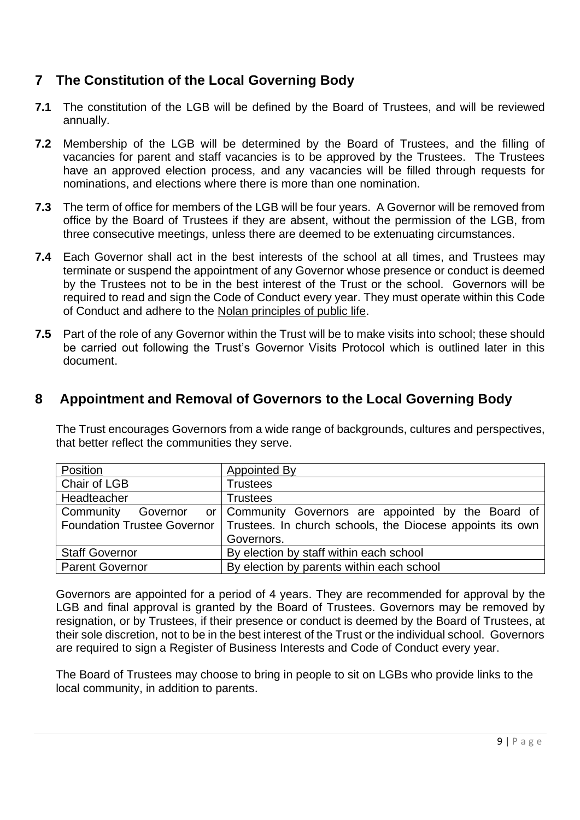## <span id="page-8-0"></span>**7 The Constitution of the Local Governing Body**

- **7.1** The constitution of the LGB will be defined by the Board of Trustees, and will be reviewed annually.
- **7.2** Membership of the LGB will be determined by the Board of Trustees, and the filling of vacancies for parent and staff vacancies is to be approved by the Trustees. The Trustees have an approved election process, and any vacancies will be filled through requests for nominations, and elections where there is more than one nomination.
- **7.3** The term of office for members of the LGB will be four years. A Governor will be removed from office by the Board of Trustees if they are absent, without the permission of the LGB, from three consecutive meetings, unless there are deemed to be extenuating circumstances.
- **7.4** Each Governor shall act in the best interests of the school at all times, and Trustees may terminate or suspend the appointment of any Governor whose presence or conduct is deemed by the Trustees not to be in the best interest of the Trust or the school. Governors will be required to read and sign the Code of Conduct every year. They must operate within this Code of Conduct and adhere to the [Nolan principles of public life.](https://www.gov.uk/government/publications/the-7-principles-of-public-life)
- **7.5** Part of the role of any Governor within the Trust will be to make visits into school; these should be carried out following the Trust's Governor Visits Protocol which is outlined later in this document.

## <span id="page-8-1"></span>**8 Appointment and Removal of Governors to the Local Governing Body**

The Trust encourages Governors from a wide range of backgrounds, cultures and perspectives, that better reflect the communities they serve.

| Position                           | <b>Appointed By</b>                                       |
|------------------------------------|-----------------------------------------------------------|
| Chair of LGB                       | <b>Trustees</b>                                           |
| Headteacher                        | <b>Trustees</b>                                           |
| Community<br>Governor              | or Community Governors are appointed by the Board of      |
| <b>Foundation Trustee Governor</b> | Trustees. In church schools, the Diocese appoints its own |
|                                    | Governors.                                                |
| <b>Staff Governor</b>              | By election by staff within each school                   |
| <b>Parent Governor</b>             | By election by parents within each school                 |

Governors are appointed for a period of 4 years. They are recommended for approval by the LGB and final approval is granted by the Board of Trustees. Governors may be removed by resignation, or by Trustees, if their presence or conduct is deemed by the Board of Trustees, at their sole discretion, not to be in the best interest of the Trust or the individual school. Governors are required to sign a Register of Business Interests and Code of Conduct every year.

The Board of Trustees may choose to bring in people to sit on LGBs who provide links to the local community, in addition to parents.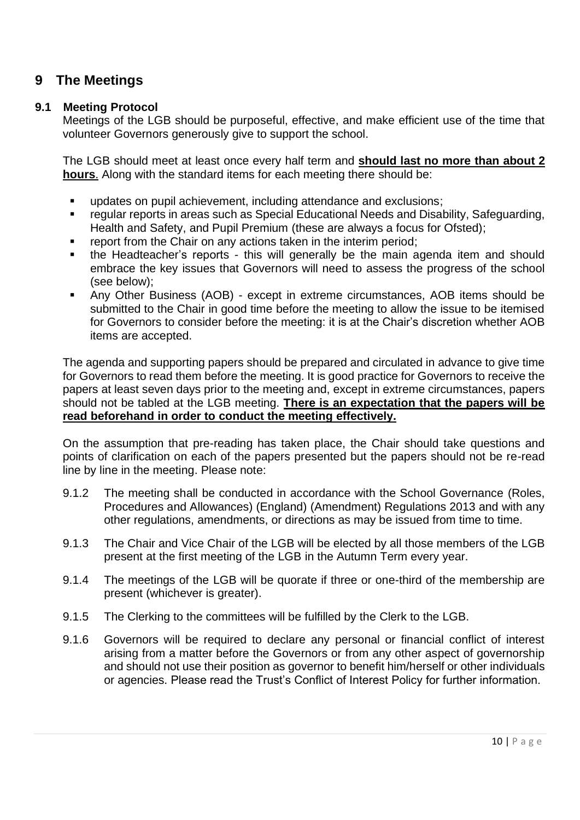## <span id="page-9-0"></span>**9 The Meetings**

#### **9.1 Meeting Protocol**

Meetings of the LGB should be purposeful, effective, and make efficient use of the time that volunteer Governors generously give to support the school.

The LGB should meet at least once every half term and **should last no more than about 2 hours**. Along with the standard items for each meeting there should be:

- updates on pupil achievement, including attendance and exclusions;
- regular reports in areas such as Special Educational Needs and Disability, Safeguarding, Health and Safety, and Pupil Premium (these are always a focus for Ofsted);
- report from the Chair on any actions taken in the interim period;
- the Headteacher's reports this will generally be the main agenda item and should embrace the key issues that Governors will need to assess the progress of the school (see below);
- Any Other Business (AOB) except in extreme circumstances, AOB items should be submitted to the Chair in good time before the meeting to allow the issue to be itemised for Governors to consider before the meeting: it is at the Chair's discretion whether AOB items are accepted.

The agenda and supporting papers should be prepared and circulated in advance to give time for Governors to read them before the meeting. It is good practice for Governors to receive the papers at least seven days prior to the meeting and, except in extreme circumstances, papers should not be tabled at the LGB meeting. **There is an expectation that the papers will be read beforehand in order to conduct the meeting effectively.**

On the assumption that pre-reading has taken place, the Chair should take questions and points of clarification on each of the papers presented but the papers should not be re-read line by line in the meeting. Please note:

- 9.1.2 The meeting shall be conducted in accordance with the School Governance (Roles, Procedures and Allowances) (England) (Amendment) Regulations 2013 and with any other regulations, amendments, or directions as may be issued from time to time.
- 9.1.3 The Chair and Vice Chair of the LGB will be elected by all those members of the LGB present at the first meeting of the LGB in the Autumn Term every year.
- 9.1.4 The meetings of the LGB will be quorate if three or one-third of the membership are present (whichever is greater).
- 9.1.5 The Clerking to the committees will be fulfilled by the Clerk to the LGB.
- 9.1.6 Governors will be required to declare any personal or financial conflict of interest arising from a matter before the Governors or from any other aspect of governorship and should not use their position as governor to benefit him/herself or other individuals or agencies. Please read the Trust's Conflict of Interest Policy for further information.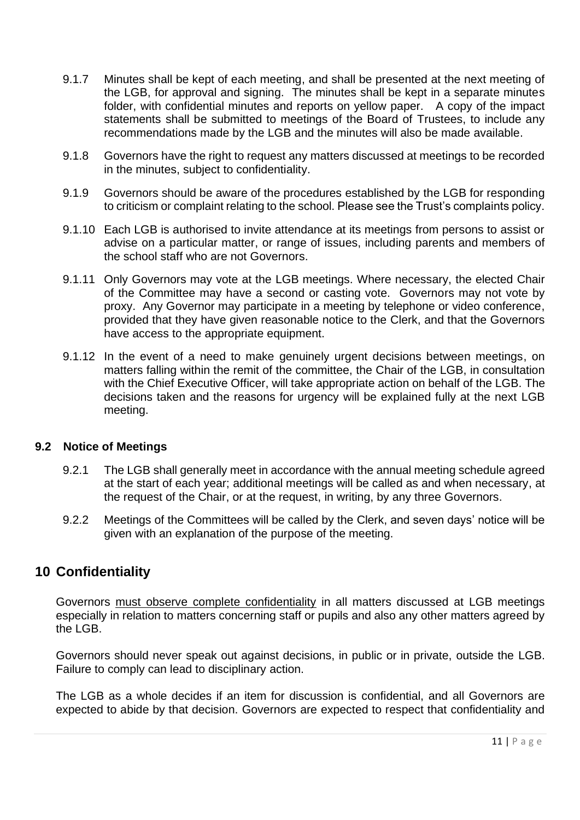- 9.1.7 Minutes shall be kept of each meeting, and shall be presented at the next meeting of the LGB, for approval and signing. The minutes shall be kept in a separate minutes folder, with confidential minutes and reports on yellow paper. A copy of the impact statements shall be submitted to meetings of the Board of Trustees, to include any recommendations made by the LGB and the minutes will also be made available.
- 9.1.8 Governors have the right to request any matters discussed at meetings to be recorded in the minutes, subject to confidentiality.
- 9.1.9 Governors should be aware of the procedures established by the LGB for responding to criticism or complaint relating to the school. Please see the Trust's complaints policy.
- 9.1.10 Each LGB is authorised to invite attendance at its meetings from persons to assist or advise on a particular matter, or range of issues, including parents and members of the school staff who are not Governors.
- 9.1.11 Only Governors may vote at the LGB meetings. Where necessary, the elected Chair of the Committee may have a second or casting vote. Governors may not vote by proxy. Any Governor may participate in a meeting by telephone or video conference, provided that they have given reasonable notice to the Clerk, and that the Governors have access to the appropriate equipment.
- 9.1.12 In the event of a need to make genuinely urgent decisions between meetings, on matters falling within the remit of the committee, the Chair of the LGB, in consultation with the Chief Executive Officer, will take appropriate action on behalf of the LGB. The decisions taken and the reasons for urgency will be explained fully at the next LGB meeting.

#### **9.2 Notice of Meetings**

- 9.2.1 The LGB shall generally meet in accordance with the annual meeting schedule agreed at the start of each year; additional meetings will be called as and when necessary, at the request of the Chair, or at the request, in writing, by any three Governors.
- 9.2.2 Meetings of the Committees will be called by the Clerk, and seven days' notice will be given with an explanation of the purpose of the meeting.

## <span id="page-10-0"></span>**10 Confidentiality**

Governors must observe complete confidentiality in all matters discussed at LGB meetings especially in relation to matters concerning staff or pupils and also any other matters agreed by the LGB.

Governors should never speak out against decisions, in public or in private, outside the LGB. Failure to comply can lead to disciplinary action.

The LGB as a whole decides if an item for discussion is confidential, and all Governors are expected to abide by that decision. Governors are expected to respect that confidentiality and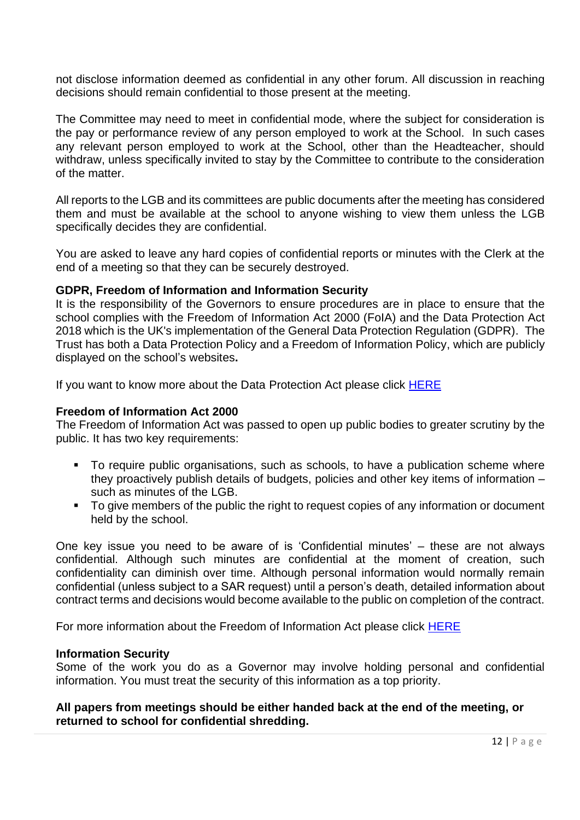not disclose information deemed as confidential in any other forum. All discussion in reaching decisions should remain confidential to those present at the meeting.

The Committee may need to meet in confidential mode, where the subject for consideration is the pay or performance review of any person employed to work at the School. In such cases any relevant person employed to work at the School, other than the Headteacher, should withdraw, unless specifically invited to stay by the Committee to contribute to the consideration of the matter.

All reports to the LGB and its committees are public documents after the meeting has considered them and must be available at the school to anyone wishing to view them unless the LGB specifically decides they are confidential.

You are asked to leave any hard copies of confidential reports or minutes with the Clerk at the end of a meeting so that they can be securely destroyed.

#### **GDPR, Freedom of Information and Information Security**

It is the responsibility of the Governors to ensure procedures are in place to ensure that the school complies with the Freedom of Information Act 2000 (FoIA) and the Data Protection Act 2018 which is the UK's implementation of the General Data Protection Regulation (GDPR). The Trust has both a Data Protection Policy and a Freedom of Information Policy, which are publicly displayed on the school's websites**.**

If you want to know more about the Data Protection Act please click [HERE](https://ico.org.uk/for-organisations/guide-to-data-protection/guide-to-the-general-data-protection-regulation-gdpr/)

#### **Freedom of Information Act 2000**

The Freedom of Information Act was passed to open up public bodies to greater scrutiny by the public. It has two key requirements:

- To require public organisations, such as schools, to have a publication scheme where they proactively publish details of budgets, policies and other key items of information – such as minutes of the LGB.
- To give members of the public the right to request copies of any information or document held by the school.

One key issue you need to be aware of is 'Confidential minutes' – these are not always confidential. Although such minutes are confidential at the moment of creation, such confidentiality can diminish over time. Although personal information would normally remain confidential (unless subject to a SAR request) until a person's death, detailed information about contract terms and decisions would become available to the public on completion of the contract.

For more information about the Freedom of Information Act please click **HERE** 

#### **Information Security**

Some of the work you do as a Governor may involve holding personal and confidential information. You must treat the security of this information as a top priority.

#### **All papers from meetings should be either handed back at the end of the meeting, or returned to school for confidential shredding.**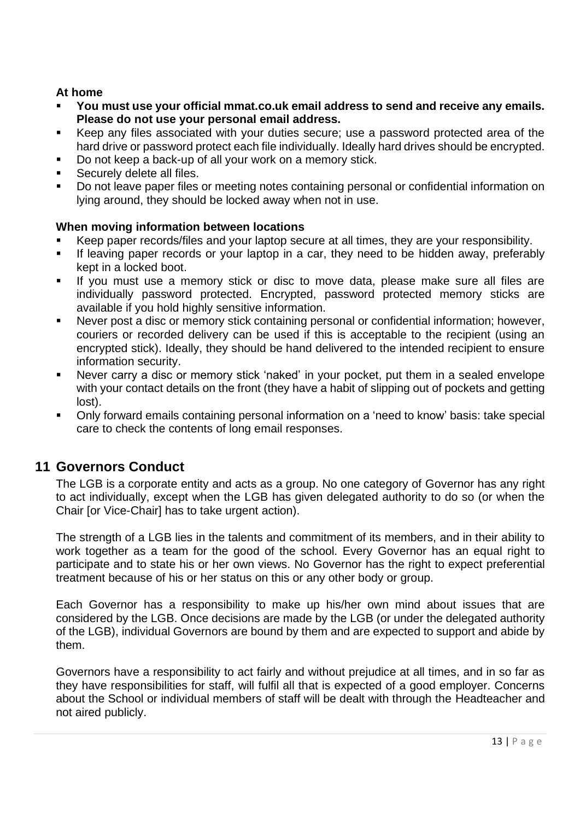#### **At home**

- **You must use your official mmat.co.uk email address to send and receive any emails. Please do not use your personal email address.**
- Keep any files associated with your duties secure; use a password protected area of the hard drive or password protect each file individually. Ideally hard drives should be encrypted.
- Do not keep a back-up of all your work on a memory stick.
- Securely delete all files.
- Do not leave paper files or meeting notes containing personal or confidential information on lying around, they should be locked away when not in use.

#### **When moving information between locations**

- Keep paper records/files and your laptop secure at all times, they are your responsibility.
- **EXT** If leaving paper records or your laptop in a car, they need to be hidden away, preferably kept in a locked boot.
- If you must use a memory stick or disc to move data, please make sure all files are individually password protected. Encrypted, password protected memory sticks are available if you hold highly sensitive information.
- Never post a disc or memory stick containing personal or confidential information; however, couriers or recorded delivery can be used if this is acceptable to the recipient (using an encrypted stick). Ideally, they should be hand delivered to the intended recipient to ensure information security.
- Never carry a disc or memory stick 'naked' in your pocket, put them in a sealed envelope with your contact details on the front (they have a habit of slipping out of pockets and getting lost).
- Only forward emails containing personal information on a 'need to know' basis: take special care to check the contents of long email responses.

## <span id="page-12-0"></span>**11 Governors Conduct**

The LGB is a corporate entity and acts as a group. No one category of Governor has any right to act individually, except when the LGB has given delegated authority to do so (or when the Chair [or Vice-Chair] has to take urgent action).

The strength of a LGB lies in the talents and commitment of its members, and in their ability to work together as a team for the good of the school. Every Governor has an equal right to participate and to state his or her own views. No Governor has the right to expect preferential treatment because of his or her status on this or any other body or group.

Each Governor has a responsibility to make up his/her own mind about issues that are considered by the LGB. Once decisions are made by the LGB (or under the delegated authority of the LGB), individual Governors are bound by them and are expected to support and abide by them.

Governors have a responsibility to act fairly and without prejudice at all times, and in so far as they have responsibilities for staff, will fulfil all that is expected of a good employer. Concerns about the School or individual members of staff will be dealt with through the Headteacher and not aired publicly.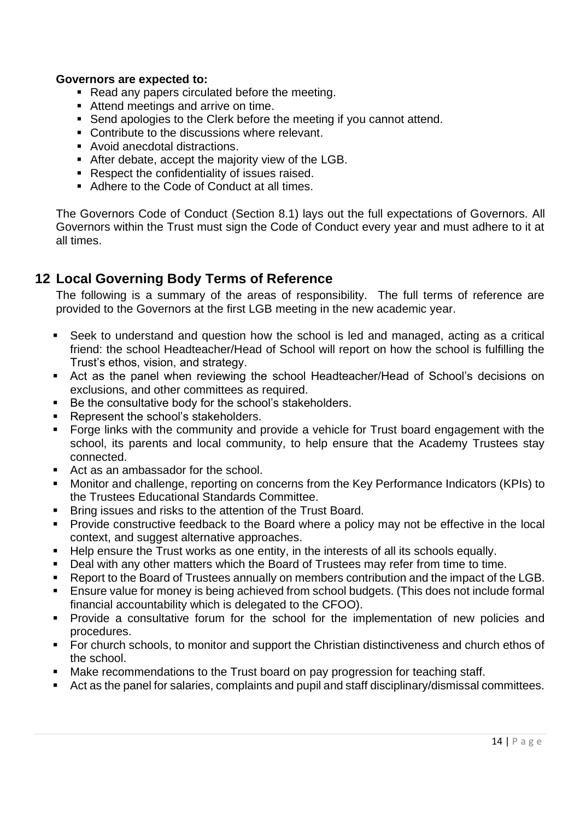#### **Governors are expected to:**

- Read any papers circulated before the meeting.
- Attend meetings and arrive on time.
- Send apologies to the Clerk before the meeting if you cannot attend.
- Contribute to the discussions where relevant.
- Avoid anecdotal distractions.
- After debate, accept the majority view of the LGB.
- Respect the confidentiality of issues raised.
- Adhere to the Code of Conduct at all times.

The Governors Code of Conduct (Section 8.1) lays out the full expectations of Governors. All Governors within the Trust must sign the Code of Conduct every year and must adhere to it at all times.

### <span id="page-13-0"></span>**12 Local Governing Body Terms of Reference**

The following is a summary of the areas of responsibility. The full terms of reference are provided to the Governors at the first LGB meeting in the new academic year.

- Seek to understand and question how the school is led and managed, acting as a critical friend: the school Headteacher/Head of School will report on how the school is fulfilling the Trust's ethos, vision, and strategy.
- Act as the panel when reviewing the school Headteacher/Head of School's decisions on exclusions, and other committees as required.
- Be the consultative body for the school's stakeholders.
- Represent the school's stakeholders.
- Forge links with the community and provide a vehicle for Trust board engagement with the school, its parents and local community, to help ensure that the Academy Trustees stay connected.
- Act as an ambassador for the school.
- Monitor and challenge, reporting on concerns from the Key Performance Indicators (KPIs) to the Trustees Educational Standards Committee.
- Bring issues and risks to the attention of the Trust Board.
- **•** Provide constructive feedback to the Board where a policy may not be effective in the local context, and suggest alternative approaches.
- Help ensure the Trust works as one entity, in the interests of all its schools equally.
- Deal with any other matters which the Board of Trustees may refer from time to time.
- Report to the Board of Trustees annually on members contribution and the impact of the LGB.
- Ensure value for money is being achieved from school budgets. (This does not include formal financial accountability which is delegated to the CFOO).
- **•** Provide a consultative forum for the school for the implementation of new policies and procedures.
- For church schools, to monitor and support the Christian distinctiveness and church ethos of the school.
- Make recommendations to the Trust board on pay progression for teaching staff.
- Act as the panel for salaries, complaints and pupil and staff disciplinary/dismissal committees.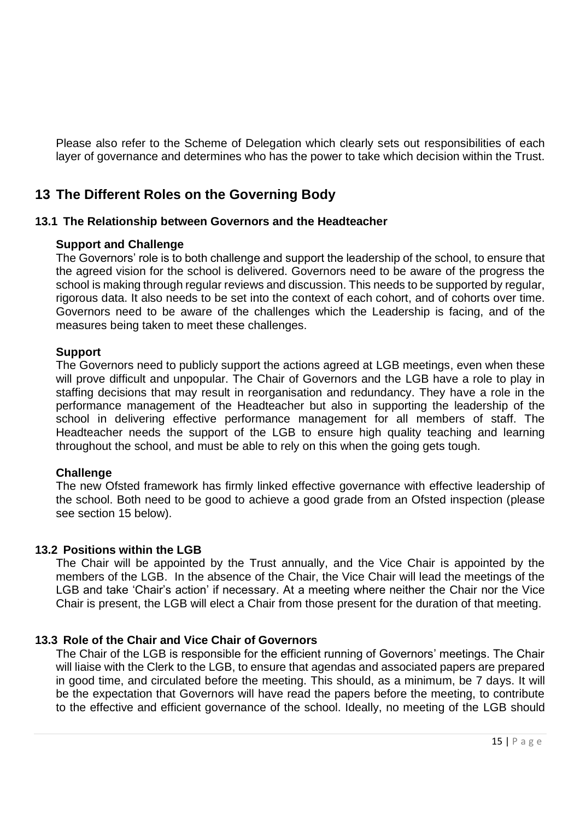Please also refer to the Scheme of Delegation which clearly sets out responsibilities of each layer of governance and determines who has the power to take which decision within the Trust.

## <span id="page-14-0"></span>**13 The Different Roles on the Governing Body**

#### **13.1 The Relationship between Governors and the Headteacher**

#### **Support and Challenge**

The Governors' role is to both challenge and support the leadership of the school, to ensure that the agreed vision for the school is delivered. Governors need to be aware of the progress the school is making through regular reviews and discussion. This needs to be supported by regular, rigorous data. It also needs to be set into the context of each cohort, and of cohorts over time. Governors need to be aware of the challenges which the Leadership is facing, and of the measures being taken to meet these challenges.

#### **Support**

The Governors need to publicly support the actions agreed at LGB meetings, even when these will prove difficult and unpopular. The Chair of Governors and the LGB have a role to play in staffing decisions that may result in reorganisation and redundancy. They have a role in the performance management of the Headteacher but also in supporting the leadership of the school in delivering effective performance management for all members of staff. The Headteacher needs the support of the LGB to ensure high quality teaching and learning throughout the school, and must be able to rely on this when the going gets tough.

#### **Challenge**

The new Ofsted framework has firmly linked effective governance with effective leadership of the school. Both need to be good to achieve a good grade from an Ofsted inspection (please see section 15 below).

#### **13.2 Positions within the LGB**

The Chair will be appointed by the Trust annually, and the Vice Chair is appointed by the members of the LGB. In the absence of the Chair, the Vice Chair will lead the meetings of the LGB and take 'Chair's action' if necessary. At a meeting where neither the Chair nor the Vice Chair is present, the LGB will elect a Chair from those present for the duration of that meeting.

#### **13.3 Role of the Chair and Vice Chair of Governors**

The Chair of the LGB is responsible for the efficient running of Governors' meetings. The Chair will liaise with the Clerk to the LGB, to ensure that agendas and associated papers are prepared in good time, and circulated before the meeting. This should, as a minimum, be 7 days. It will be the expectation that Governors will have read the papers before the meeting, to contribute to the effective and efficient governance of the school. Ideally, no meeting of the LGB should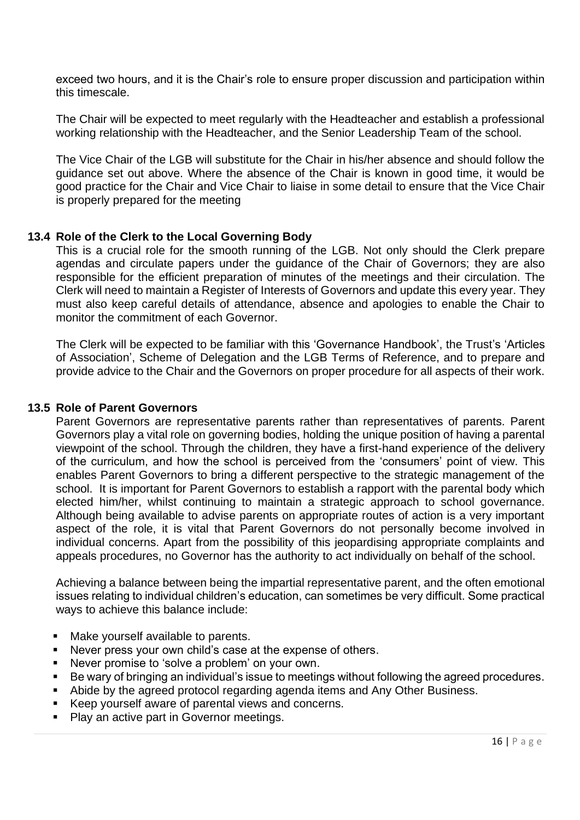exceed two hours, and it is the Chair's role to ensure proper discussion and participation within this timescale.

The Chair will be expected to meet regularly with the Headteacher and establish a professional working relationship with the Headteacher, and the Senior Leadership Team of the school.

The Vice Chair of the LGB will substitute for the Chair in his/her absence and should follow the guidance set out above. Where the absence of the Chair is known in good time, it would be good practice for the Chair and Vice Chair to liaise in some detail to ensure that the Vice Chair is properly prepared for the meeting

#### **13.4 Role of the Clerk to the Local Governing Body**

This is a crucial role for the smooth running of the LGB. Not only should the Clerk prepare agendas and circulate papers under the guidance of the Chair of Governors; they are also responsible for the efficient preparation of minutes of the meetings and their circulation. The Clerk will need to maintain a Register of Interests of Governors and update this every year. They must also keep careful details of attendance, absence and apologies to enable the Chair to monitor the commitment of each Governor.

The Clerk will be expected to be familiar with this 'Governance Handbook', the Trust's 'Articles of Association', Scheme of Delegation and the LGB Terms of Reference, and to prepare and provide advice to the Chair and the Governors on proper procedure for all aspects of their work.

#### **13.5 Role of Parent Governors**

Parent Governors are representative parents rather than representatives of parents. Parent Governors play a vital role on governing bodies, holding the unique position of having a parental viewpoint of the school. Through the children, they have a first-hand experience of the delivery of the curriculum, and how the school is perceived from the 'consumers' point of view. This enables Parent Governors to bring a different perspective to the strategic management of the school. It is important for Parent Governors to establish a rapport with the parental body which elected him/her, whilst continuing to maintain a strategic approach to school governance. Although being available to advise parents on appropriate routes of action is a very important aspect of the role, it is vital that Parent Governors do not personally become involved in individual concerns. Apart from the possibility of this jeopardising appropriate complaints and appeals procedures, no Governor has the authority to act individually on behalf of the school.

Achieving a balance between being the impartial representative parent, and the often emotional issues relating to individual children's education, can sometimes be very difficult. Some practical ways to achieve this balance include:

- Make yourself available to parents.
- Never press your own child's case at the expense of others.
- Never promise to 'solve a problem' on your own.
- Be wary of bringing an individual's issue to meetings without following the agreed procedures.
- Abide by the agreed protocol regarding agenda items and Any Other Business.
- Keep yourself aware of parental views and concerns.
- Play an active part in Governor meetings.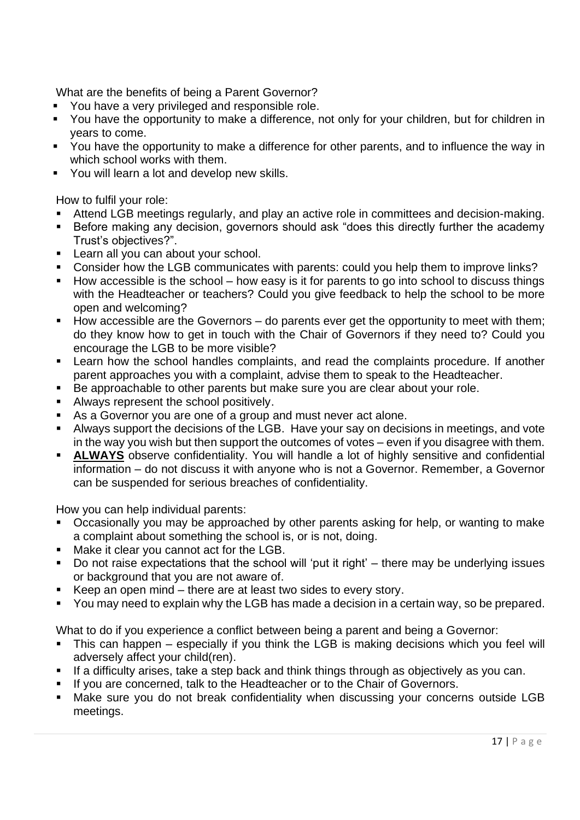What are the benefits of being a Parent Governor?

- You have a very privileged and responsible role.
- You have the opportunity to make a difference, not only for your children, but for children in years to come.
- You have the opportunity to make a difference for other parents, and to influence the way in which school works with them.
- You will learn a lot and develop new skills.

How to fulfil your role:

- Attend LGB meetings regularly, and play an active role in committees and decision-making.
- Before making any decision, governors should ask "does this directly further the academy Trust's objectives?".
- Learn all you can about your school.
- Consider how the LGB communicates with parents: could you help them to improve links?
- How accessible is the school how easy is it for parents to go into school to discuss things with the Headteacher or teachers? Could you give feedback to help the school to be more open and welcoming?
- How accessible are the Governors do parents ever get the opportunity to meet with them; do they know how to get in touch with the Chair of Governors if they need to? Could you encourage the LGB to be more visible?
- **EXECT** Learn how the school handles complaints, and read the complaints procedure. If another parent approaches you with a complaint, advise them to speak to the Headteacher.
- Be approachable to other parents but make sure you are clear about your role.
- Always represent the school positively.
- As a Governor you are one of a group and must never act alone.
- **EXT** Always support the decisions of the LGB. Have your say on decisions in meetings, and vote in the way you wish but then support the outcomes of votes – even if you disagree with them.
- **EXTERGHEDRO ALWAYS** observe confidentiality. You will handle a lot of highly sensitive and confidential information – do not discuss it with anyone who is not a Governor. Remember, a Governor can be suspended for serious breaches of confidentiality.

How you can help individual parents:

- Occasionally you may be approached by other parents asking for help, or wanting to make a complaint about something the school is, or is not, doing.
- Make it clear you cannot act for the LGB.
- Do not raise expectations that the school will 'put it right' there may be underlying issues or background that you are not aware of.
- Keep an open mind there are at least two sides to every story.
- You may need to explain why the LGB has made a decision in a certain way, so be prepared.

What to do if you experience a conflict between being a parent and being a Governor:

- This can happen especially if you think the LGB is making decisions which you feel will adversely affect your child(ren).
- **EXT** If a difficulty arises, take a step back and think things through as objectively as you can.
- If you are concerned, talk to the Headteacher or to the Chair of Governors.
- Make sure you do not break confidentiality when discussing your concerns outside LGB meetings.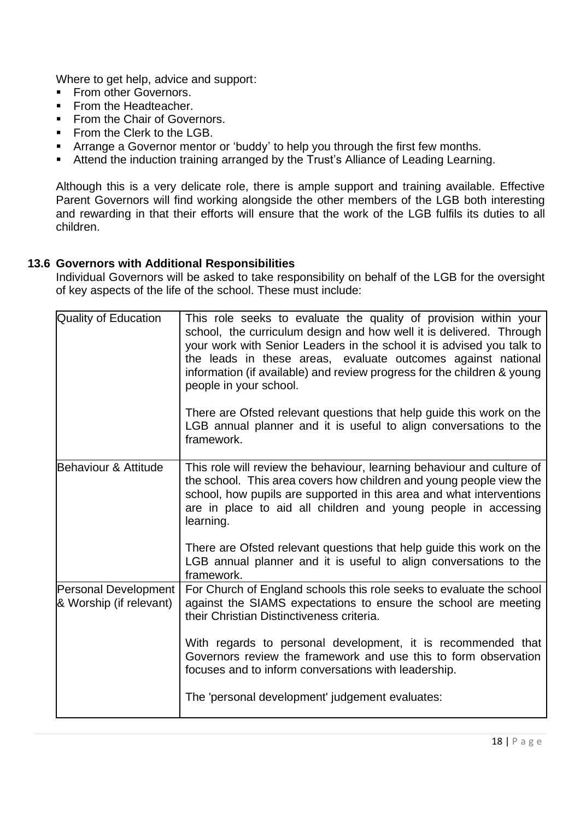Where to get help, advice and support:

- **From other Governors.**
- From the Headteacher.
- From the Chair of Governors.
- **•** From the Clerk to the LGB.
- **EXTER** Arrange a Governor mentor or 'buddy' to help you through the first few months.
- Attend the induction training arranged by the Trust's Alliance of Leading Learning.

Although this is a very delicate role, there is ample support and training available. Effective Parent Governors will find working alongside the other members of the LGB both interesting and rewarding in that their efforts will ensure that the work of the LGB fulfils its duties to all children.

#### **13.6 Governors with Additional Responsibilities**

Individual Governors will be asked to take responsibility on behalf of the LGB for the oversight of key aspects of the life of the school. These must include:

| Quality of Education                                   | This role seeks to evaluate the quality of provision within your<br>school, the curriculum design and how well it is delivered. Through<br>your work with Senior Leaders in the school it is advised you talk to<br>the leads in these areas, evaluate outcomes against national<br>information (if available) and review progress for the children & young<br>people in your school.<br>There are Ofsted relevant questions that help guide this work on the<br>LGB annual planner and it is useful to align conversations to the<br>framework. |
|--------------------------------------------------------|--------------------------------------------------------------------------------------------------------------------------------------------------------------------------------------------------------------------------------------------------------------------------------------------------------------------------------------------------------------------------------------------------------------------------------------------------------------------------------------------------------------------------------------------------|
| Behaviour & Attitude                                   | This role will review the behaviour, learning behaviour and culture of<br>the school. This area covers how children and young people view the<br>school, how pupils are supported in this area and what interventions<br>are in place to aid all children and young people in accessing<br>learning.<br>There are Ofsted relevant questions that help guide this work on the<br>LGB annual planner and it is useful to align conversations to the                                                                                                |
|                                                        | framework.                                                                                                                                                                                                                                                                                                                                                                                                                                                                                                                                       |
| <b>Personal Development</b><br>& Worship (if relevant) | For Church of England schools this role seeks to evaluate the school<br>against the SIAMS expectations to ensure the school are meeting<br>their Christian Distinctiveness criteria.                                                                                                                                                                                                                                                                                                                                                             |
|                                                        | With regards to personal development, it is recommended that<br>Governors review the framework and use this to form observation<br>focuses and to inform conversations with leadership.                                                                                                                                                                                                                                                                                                                                                          |
|                                                        | The 'personal development' judgement evaluates:                                                                                                                                                                                                                                                                                                                                                                                                                                                                                                  |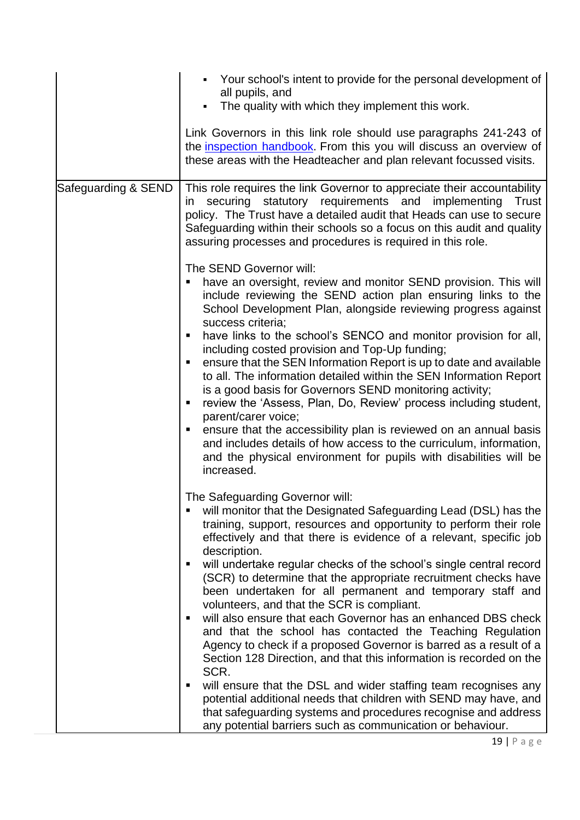|                     | • Your school's intent to provide for the personal development of<br>all pupils, and<br>The quality with which they implement this work.                                                                                                                                                                                                                                                                                                                                                                                                                                                                                                                                                                                                                                                                                                                                                                                                                                                                                                                                                     |
|---------------------|----------------------------------------------------------------------------------------------------------------------------------------------------------------------------------------------------------------------------------------------------------------------------------------------------------------------------------------------------------------------------------------------------------------------------------------------------------------------------------------------------------------------------------------------------------------------------------------------------------------------------------------------------------------------------------------------------------------------------------------------------------------------------------------------------------------------------------------------------------------------------------------------------------------------------------------------------------------------------------------------------------------------------------------------------------------------------------------------|
|                     | Link Governors in this link role should use paragraphs 241-243 of<br>the inspection handbook. From this you will discuss an overview of<br>these areas with the Headteacher and plan relevant focussed visits.                                                                                                                                                                                                                                                                                                                                                                                                                                                                                                                                                                                                                                                                                                                                                                                                                                                                               |
| Safeguarding & SEND | This role requires the link Governor to appreciate their accountability<br>in securing statutory requirements and implementing<br><b>Trust</b><br>policy. The Trust have a detailed audit that Heads can use to secure<br>Safeguarding within their schools so a focus on this audit and quality<br>assuring processes and procedures is required in this role.                                                                                                                                                                                                                                                                                                                                                                                                                                                                                                                                                                                                                                                                                                                              |
|                     | The SEND Governor will:<br>have an oversight, review and monitor SEND provision. This will<br>include reviewing the SEND action plan ensuring links to the<br>School Development Plan, alongside reviewing progress against<br>success criteria;<br>have links to the school's SENCO and monitor provision for all,<br>п<br>including costed provision and Top-Up funding;<br>ensure that the SEN Information Report is up to date and available<br>to all. The information detailed within the SEN Information Report<br>is a good basis for Governors SEND monitoring activity;<br>review the 'Assess, Plan, Do, Review' process including student,<br>п<br>parent/carer voice;<br>ensure that the accessibility plan is reviewed on an annual basis<br>and includes details of how access to the curriculum, information,<br>and the physical environment for pupils with disabilities will be<br>increased.                                                                                                                                                                              |
|                     | The Safeguarding Governor will:<br>will monitor that the Designated Safeguarding Lead (DSL) has the<br>training, support, resources and opportunity to perform their role<br>effectively and that there is evidence of a relevant, specific job<br>description.<br>will undertake regular checks of the school's single central record<br>п<br>(SCR) to determine that the appropriate recruitment checks have<br>been undertaken for all permanent and temporary staff and<br>volunteers, and that the SCR is compliant.<br>will also ensure that each Governor has an enhanced DBS check<br>Е<br>and that the school has contacted the Teaching Regulation<br>Agency to check if a proposed Governor is barred as a result of a<br>Section 128 Direction, and that this information is recorded on the<br>SCR.<br>will ensure that the DSL and wider staffing team recognises any<br>п<br>potential additional needs that children with SEND may have, and<br>that safeguarding systems and procedures recognise and address<br>any potential barriers such as communication or behaviour. |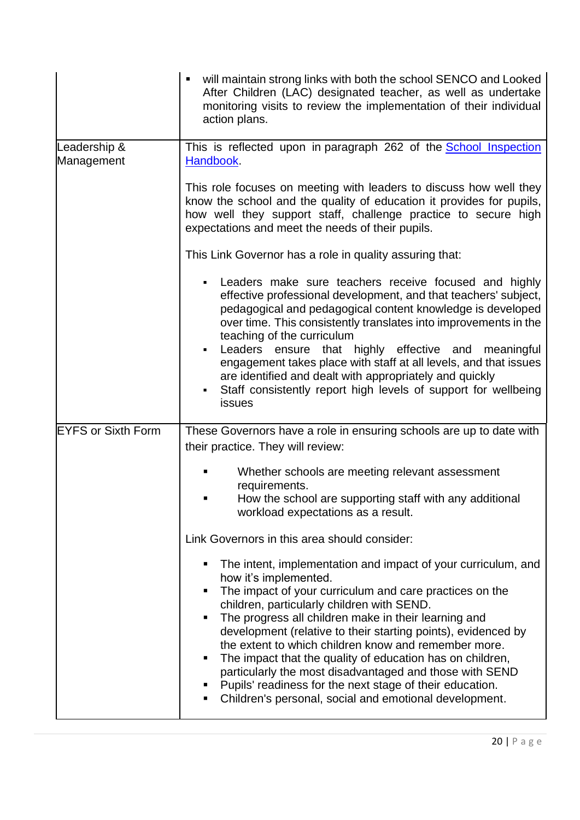|                            | will maintain strong links with both the school SENCO and Looked<br>٠<br>After Children (LAC) designated teacher, as well as undertake<br>monitoring visits to review the implementation of their individual<br>action plans.                                                                                                                                                                                                                                                                                                                                                                                                                      |
|----------------------------|----------------------------------------------------------------------------------------------------------------------------------------------------------------------------------------------------------------------------------------------------------------------------------------------------------------------------------------------------------------------------------------------------------------------------------------------------------------------------------------------------------------------------------------------------------------------------------------------------------------------------------------------------|
| Leadership &<br>Management | This is reflected upon in paragraph 262 of the <b>School Inspection</b><br>Handbook.                                                                                                                                                                                                                                                                                                                                                                                                                                                                                                                                                               |
|                            | This role focuses on meeting with leaders to discuss how well they<br>know the school and the quality of education it provides for pupils,<br>how well they support staff, challenge practice to secure high<br>expectations and meet the needs of their pupils.                                                                                                                                                                                                                                                                                                                                                                                   |
|                            | This Link Governor has a role in quality assuring that:                                                                                                                                                                                                                                                                                                                                                                                                                                                                                                                                                                                            |
|                            | Leaders make sure teachers receive focused and highly<br>effective professional development, and that teachers' subject,<br>pedagogical and pedagogical content knowledge is developed<br>over time. This consistently translates into improvements in the<br>teaching of the curriculum<br>Leaders ensure that highly effective and meaningful<br>engagement takes place with staff at all levels, and that issues<br>are identified and dealt with appropriately and quickly<br>Staff consistently report high levels of support for wellbeing<br>issues                                                                                         |
| <b>EYFS or Sixth Form</b>  | These Governors have a role in ensuring schools are up to date with                                                                                                                                                                                                                                                                                                                                                                                                                                                                                                                                                                                |
|                            | their practice. They will review:                                                                                                                                                                                                                                                                                                                                                                                                                                                                                                                                                                                                                  |
|                            | Whether schools are meeting relevant assessment<br>requirements.                                                                                                                                                                                                                                                                                                                                                                                                                                                                                                                                                                                   |
|                            | How the school are supporting staff with any additional<br>workload expectations as a result.                                                                                                                                                                                                                                                                                                                                                                                                                                                                                                                                                      |
|                            | Link Governors in this area should consider:                                                                                                                                                                                                                                                                                                                                                                                                                                                                                                                                                                                                       |
|                            | The intent, implementation and impact of your curriculum, and<br>٠<br>how it's implemented.<br>The impact of your curriculum and care practices on the<br>٠<br>children, particularly children with SEND.<br>The progress all children make in their learning and<br>development (relative to their starting points), evidenced by<br>the extent to which children know and remember more.<br>The impact that the quality of education has on children,<br>п<br>particularly the most disadvantaged and those with SEND<br>Pupils' readiness for the next stage of their education.<br>Children's personal, social and emotional development.<br>٠ |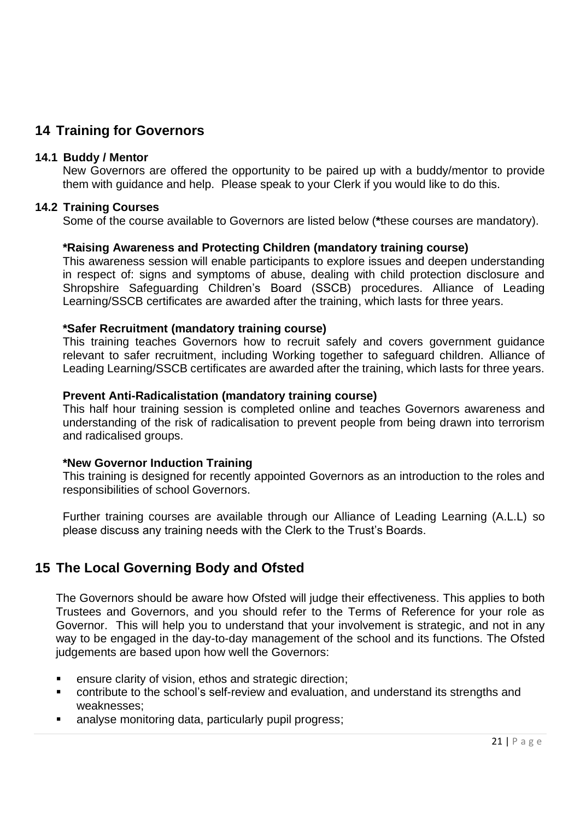## <span id="page-20-0"></span>**14 Training for Governors**

#### **14.1 Buddy / Mentor**

New Governors are offered the opportunity to be paired up with a buddy/mentor to provide them with guidance and help. Please speak to your Clerk if you would like to do this.

#### **14.2 Training Courses**

Some of the course available to Governors are listed below (**\***these courses are mandatory).

#### **\*Raising Awareness and Protecting Children (mandatory training course)**

This awareness session will enable participants to explore issues and deepen understanding in respect of: signs and symptoms of abuse, dealing with child protection disclosure and Shropshire Safeguarding Children's Board (SSCB) procedures. Alliance of Leading Learning/SSCB certificates are awarded after the training, which lasts for three years.

#### **\*Safer Recruitment (mandatory training course)**

This training teaches Governors how to recruit safely and covers government guidance relevant to safer recruitment, including Working together to safeguard children. Alliance of Leading Learning/SSCB certificates are awarded after the training, which lasts for three years.

#### **Prevent Anti-Radicalistation (mandatory training course)**

This half hour training session is completed online and teaches Governors awareness and understanding of the risk of radicalisation to prevent people from being drawn into terrorism and radicalised groups.

#### **\*New Governor Induction Training**

This training is designed for recently appointed Governors as an introduction to the roles and responsibilities of school Governors.

Further training courses are available through our Alliance of Leading Learning (A.L.L) so please discuss any training needs with the Clerk to the Trust's Boards.

## <span id="page-20-1"></span>**15 The Local Governing Body and Ofsted**

The Governors should be aware how Ofsted will judge their effectiveness. This applies to both Trustees and Governors, and you should refer to the Terms of Reference for your role as Governor. This will help you to understand that your involvement is strategic, and not in any way to be engaged in the day-to-day management of the school and its functions. The Ofsted judgements are based upon how well the Governors:

- ensure clarity of vision, ethos and strategic direction;
- contribute to the school's self-review and evaluation, and understand its strengths and weaknesses;
- analyse monitoring data, particularly pupil progress;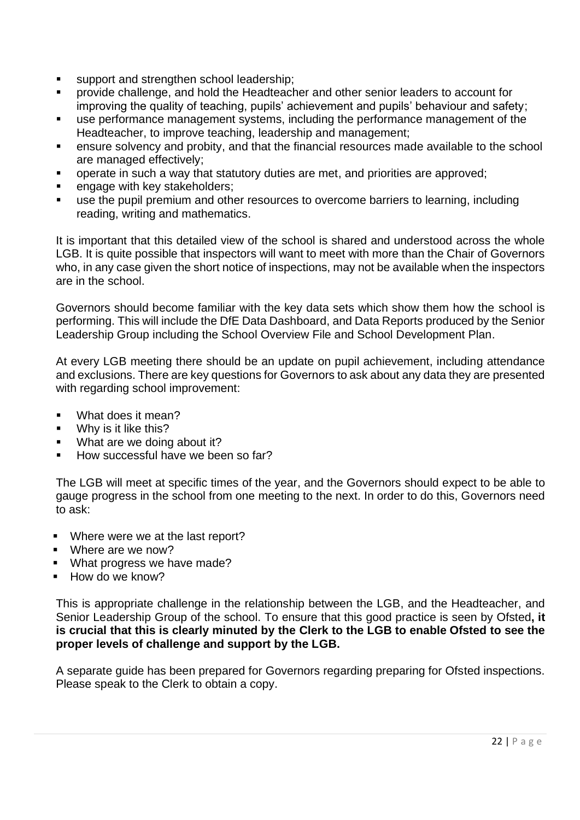- support and strengthen school leadership;
- provide challenge, and hold the Headteacher and other senior leaders to account for improving the quality of teaching, pupils' achievement and pupils' behaviour and safety;
- use performance management systems, including the performance management of the Headteacher, to improve teaching, leadership and management;
- ensure solvency and probity, and that the financial resources made available to the school are managed effectively;
- operate in such a way that statutory duties are met, and priorities are approved;
- **EXEC** engage with key stakeholders;
- use the pupil premium and other resources to overcome barriers to learning, including reading, writing and mathematics.

It is important that this detailed view of the school is shared and understood across the whole LGB. It is quite possible that inspectors will want to meet with more than the Chair of Governors who, in any case given the short notice of inspections, may not be available when the inspectors are in the school.

Governors should become familiar with the key data sets which show them how the school is performing. This will include the DfE Data Dashboard, and Data Reports produced by the Senior Leadership Group including the School Overview File and School Development Plan.

At every LGB meeting there should be an update on pupil achievement, including attendance and exclusions. There are key questions for Governors to ask about any data they are presented with regarding school improvement:

- What does it mean?
- Why is it like this?
- What are we doing about it?
- How successful have we been so far?

The LGB will meet at specific times of the year, and the Governors should expect to be able to gauge progress in the school from one meeting to the next. In order to do this, Governors need to ask:

- Where were we at the last report?
- Where are we now?
- What progress we have made?
- How do we know?

This is appropriate challenge in the relationship between the LGB, and the Headteacher, and Senior Leadership Group of the school. To ensure that this good practice is seen by Ofsted**, it is crucial that this is clearly minuted by the Clerk to the LGB to enable Ofsted to see the proper levels of challenge and support by the LGB.**

A separate guide has been prepared for Governors regarding preparing for Ofsted inspections. Please speak to the Clerk to obtain a copy.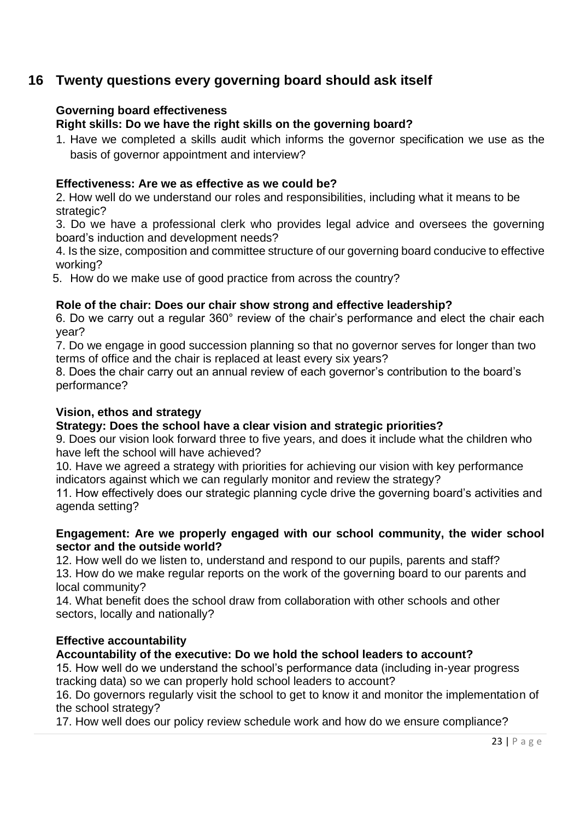## <span id="page-22-0"></span>**16 Twenty questions every governing board should ask itself**

#### **Governing board effectiveness**

**Right skills: Do we have the right skills on the governing board?**

1. Have we completed a skills audit which informs the governor specification we use as the basis of governor appointment and interview?

#### **Effectiveness: Are we as effective as we could be?**

2. How well do we understand our roles and responsibilities, including what it means to be strategic?

3. Do we have a professional clerk who provides legal advice and oversees the governing board's induction and development needs?

4. Is the size, composition and committee structure of our governing board conducive to effective working?

5. How do we make use of good practice from across the country?

#### **Role of the chair: Does our chair show strong and effective leadership?**

6. Do we carry out a regular 360° review of the chair's performance and elect the chair each year?

7. Do we engage in good succession planning so that no governor serves for longer than two terms of office and the chair is replaced at least every six years?

8. Does the chair carry out an annual review of each governor's contribution to the board's performance?

#### **Vision, ethos and strategy**

#### **Strategy: Does the school have a clear vision and strategic priorities?**

9. Does our vision look forward three to five years, and does it include what the children who have left the school will have achieved?

10. Have we agreed a strategy with priorities for achieving our vision with key performance indicators against which we can regularly monitor and review the strategy?

11. How effectively does our strategic planning cycle drive the governing board's activities and agenda setting?

#### **Engagement: Are we properly engaged with our school community, the wider school sector and the outside world?**

12. How well do we listen to, understand and respond to our pupils, parents and staff? 13. How do we make regular reports on the work of the governing board to our parents and local community?

14. What benefit does the school draw from collaboration with other schools and other sectors, locally and nationally?

#### **Effective accountability**

#### **Accountability of the executive: Do we hold the school leaders to account?**

15. How well do we understand the school's performance data (including in-year progress tracking data) so we can properly hold school leaders to account?

16. Do governors regularly visit the school to get to know it and monitor the implementation of the school strategy?

17. How well does our policy review schedule work and how do we ensure compliance?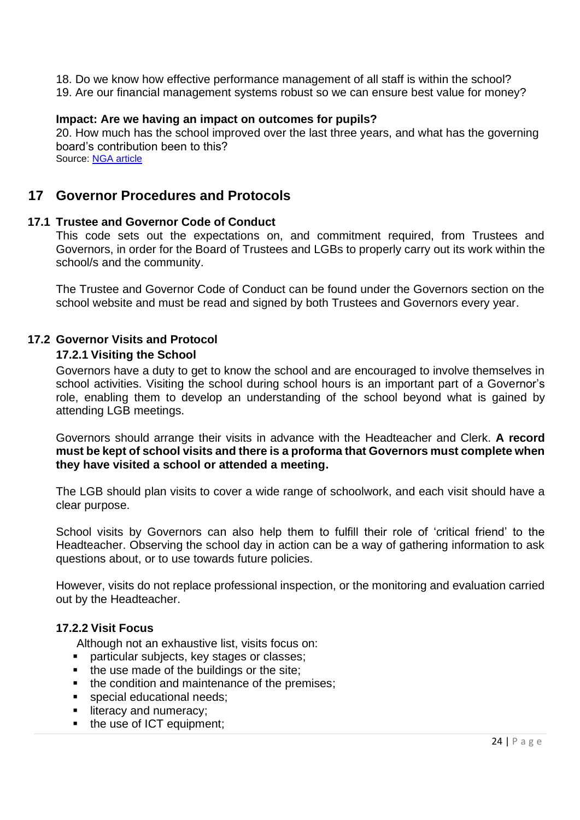- 18. Do we know how effective performance management of all staff is within the school?
- 19. Are our financial management systems robust so we can ensure best value for money?

#### **Impact: Are we having an impact on outcomes for pupils?**

20. How much has the school improved over the last three years, and what has the governing board's contribution been to this? Source: [NGA article](https://www.nga.org.uk/getmedia/028dfea6-8313-4339-96ed-fa61e0769fe4/Twenty-questions-second-edition-2015.pdf)

## <span id="page-23-0"></span>**17 Governor Procedures and Protocols**

#### **17.1 Trustee and Governor Code of Conduct**

This code sets out the expectations on, and commitment required, from Trustees and Governors, in order for the Board of Trustees and LGBs to properly carry out its work within the school/s and the community.

The Trustee and Governor Code of Conduct can be found under the Governors section on the school website and must be read and signed by both Trustees and Governors every year.

#### **17.2 Governor Visits and Protocol**

#### **17.2.1 Visiting the School**

Governors have a duty to get to know the school and are encouraged to involve themselves in school activities. Visiting the school during school hours is an important part of a Governor's role, enabling them to develop an understanding of the school beyond what is gained by attending LGB meetings.

Governors should arrange their visits in advance with the Headteacher and Clerk. **A record must be kept of school visits and there is a proforma that Governors must complete when they have visited a school or attended a meeting.**

The LGB should plan visits to cover a wide range of schoolwork, and each visit should have a clear purpose.

School visits by Governors can also help them to fulfill their role of 'critical friend' to the Headteacher. Observing the school day in action can be a way of gathering information to ask questions about, or to use towards future policies.

However, visits do not replace professional inspection, or the monitoring and evaluation carried out by the Headteacher.

#### **17.2.2 Visit Focus**

Although not an exhaustive list, visits focus on:

- particular subjects, key stages or classes;
- the use made of the buildings or the site;
- the condition and maintenance of the premises;
- **•** special educational needs;
- **·** literacy and numeracy;
- the use of ICT equipment;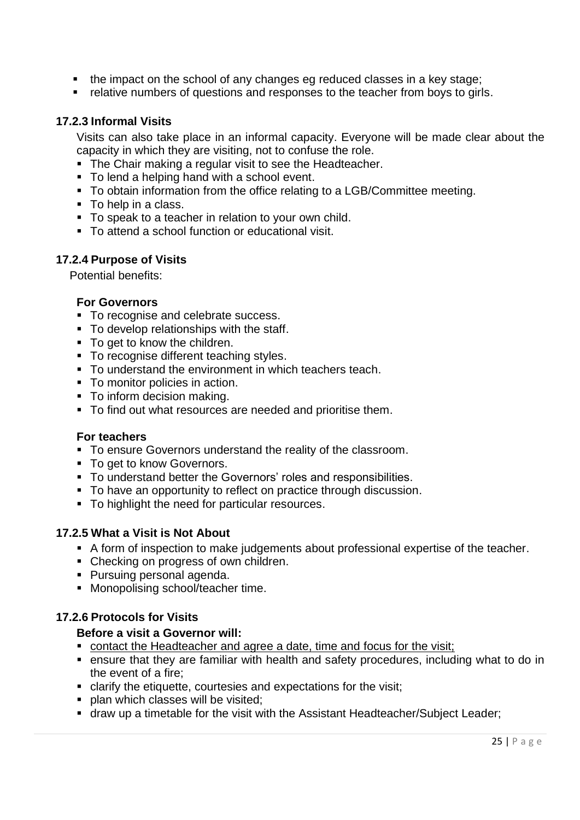- the impact on the school of any changes eg reduced classes in a key stage;
- relative numbers of questions and responses to the teacher from boys to girls.

#### **17.2.3 Informal Visits**

Visits can also take place in an informal capacity. Everyone will be made clear about the capacity in which they are visiting, not to confuse the role.

- The Chair making a regular visit to see the Headteacher.
- To lend a helping hand with a school event.
- To obtain information from the office relating to a LGB/Committee meeting.
- To help in a class.
- To speak to a teacher in relation to your own child.
- To attend a school function or educational visit.

#### **17.2.4 Purpose of Visits**

Potential benefits:

#### **For Governors**

- To recognise and celebrate success.
- To develop relationships with the staff.
- To get to know the children.
- To recognise different teaching styles.
- To understand the environment in which teachers teach.
- To monitor policies in action.
- To inform decision making.
- To find out what resources are needed and prioritise them.

#### **For teachers**

- To ensure Governors understand the reality of the classroom.
- To get to know Governors.
- To understand better the Governors' roles and responsibilities.
- To have an opportunity to reflect on practice through discussion.
- To highlight the need for particular resources.

#### **17.2.5 What a Visit is Not About**

- A form of inspection to make judgements about professional expertise of the teacher.
- Checking on progress of own children.
- Pursuing personal agenda.
- Monopolising school/teacher time.

#### **17.2.6 Protocols for Visits**

#### **Before a visit a Governor will:**

- contact the Headteacher and agree a date, time and focus for the visit;
- ensure that they are familiar with health and safety procedures, including what to do in the event of a fire;
- clarify the etiquette, courtesies and expectations for the visit;
- **plan which classes will be visited;**
- draw up a timetable for the visit with the Assistant Headteacher/Subject Leader;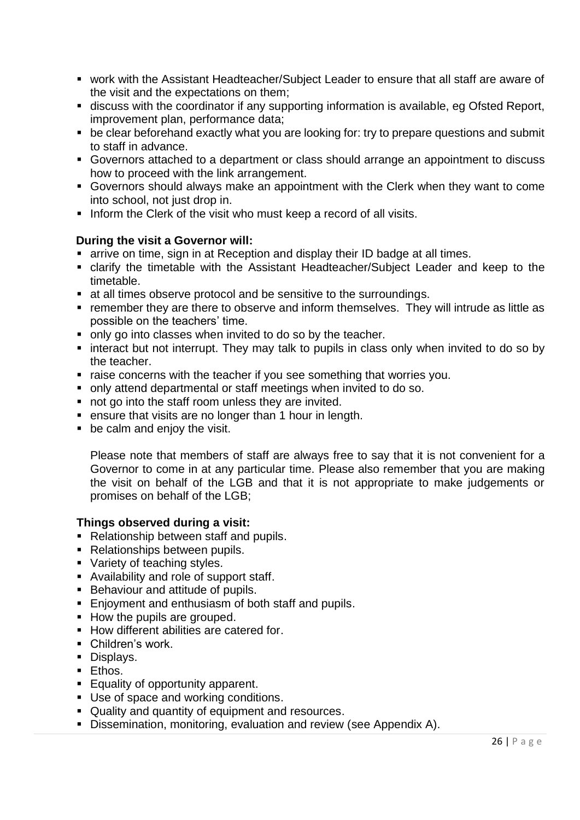- work with the Assistant Headteacher/Subject Leader to ensure that all staff are aware of the visit and the expectations on them;
- discuss with the coordinator if any supporting information is available, eg Ofsted Report, improvement plan, performance data;
- be clear beforehand exactly what you are looking for: try to prepare questions and submit to staff in advance.
- Governors attached to a department or class should arrange an appointment to discuss how to proceed with the link arrangement.
- Governors should always make an appointment with the Clerk when they want to come into school, not just drop in.
- **.** Inform the Clerk of the visit who must keep a record of all visits.

#### **During the visit a Governor will:**

- arrive on time, sign in at Reception and display their ID badge at all times.
- clarify the timetable with the Assistant Headteacher/Subject Leader and keep to the timetable.
- at all times observe protocol and be sensitive to the surroundings.
- remember they are there to observe and inform themselves. They will intrude as little as possible on the teachers' time.
- only go into classes when invited to do so by the teacher.
- interact but not interrupt. They may talk to pupils in class only when invited to do so by the teacher.
- raise concerns with the teacher if you see something that worries you.
- only attend departmental or staff meetings when invited to do so.
- not go into the staff room unless they are invited.
- ensure that visits are no longer than 1 hour in length.
- be calm and enjoy the visit.

Please note that members of staff are always free to say that it is not convenient for a Governor to come in at any particular time. Please also remember that you are making the visit on behalf of the LGB and that it is not appropriate to make judgements or promises on behalf of the LGB;

#### **Things observed during a visit:**

- Relationship between staff and pupils.
- Relationships between pupils.
- Variety of teaching styles.
- Availability and role of support staff.
- Behaviour and attitude of pupils.
- Enjoyment and enthusiasm of both staff and pupils.
- How the pupils are grouped.
- How different abilities are catered for.
- Children's work.
- Displays.
- **Ethos.**
- Equality of opportunity apparent.
- Use of space and working conditions.
- Quality and quantity of equipment and resources.
- **E** Dissemination, monitoring, evaluation and review (see Appendix A).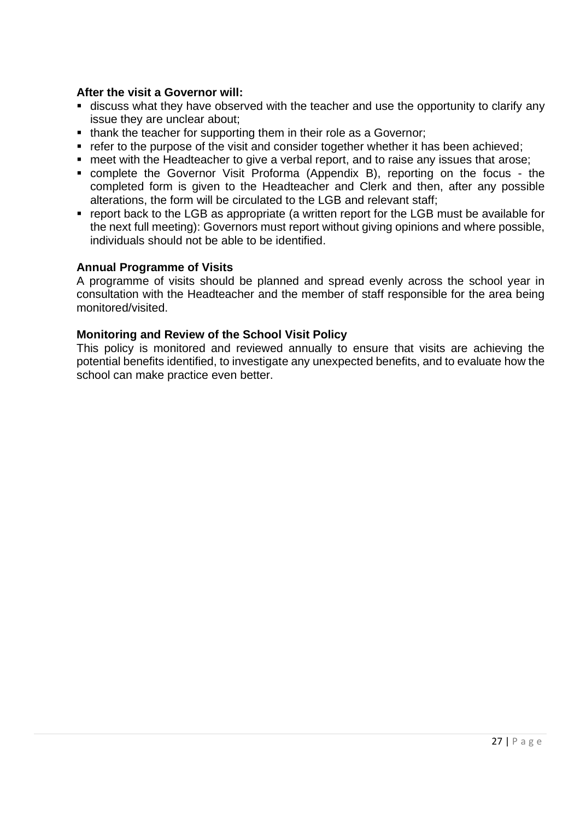#### **After the visit a Governor will:**

- **EX discuss what they have observed with the teacher and use the opportunity to clarify any** issue they are unclear about;
- thank the teacher for supporting them in their role as a Governor;
- refer to the purpose of the visit and consider together whether it has been achieved;
- meet with the Headteacher to give a verbal report, and to raise any issues that arose;
- complete the Governor Visit Proforma (Appendix B), reporting on the focus the completed form is given to the Headteacher and Clerk and then, after any possible alterations, the form will be circulated to the LGB and relevant staff;
- report back to the LGB as appropriate (a written report for the LGB must be available for the next full meeting): Governors must report without giving opinions and where possible, individuals should not be able to be identified.

#### **Annual Programme of Visits**

A programme of visits should be planned and spread evenly across the school year in consultation with the Headteacher and the member of staff responsible for the area being monitored/visited.

#### **Monitoring and Review of the School Visit Policy**

This policy is monitored and reviewed annually to ensure that visits are achieving the potential benefits identified, to investigate any unexpected benefits, and to evaluate how the school can make practice even better.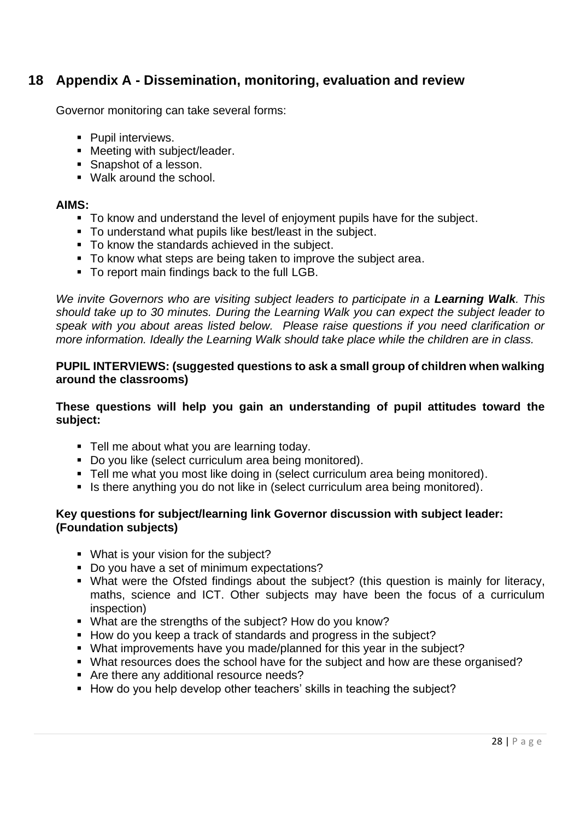## <span id="page-27-0"></span>**18 Appendix A - Dissemination, monitoring, evaluation and review**

Governor monitoring can take several forms:

- Pupil interviews.
- Meeting with subject/leader.
- Snapshot of a lesson.
- Walk around the school.

#### **AIMS:**

- To know and understand the level of enjoyment pupils have for the subject.
- To understand what pupils like best/least in the subject.
- To know the standards achieved in the subject.
- To know what steps are being taken to improve the subject area.
- To report main findings back to the full LGB.

*We invite Governors who are visiting subject leaders to participate in a Learning Walk. This should take up to 30 minutes. During the Learning Walk you can expect the subject leader to speak with you about areas listed below. Please raise questions if you need clarification or more information. Ideally the Learning Walk should take place while the children are in class.*

#### **PUPIL INTERVIEWS: (suggested questions to ask a small group of children when walking around the classrooms)**

**These questions will help you gain an understanding of pupil attitudes toward the subject:**

- Tell me about what you are learning today.
- Do you like (select curriculum area being monitored).
- Tell me what you most like doing in (select curriculum area being monitored).
- Is there anything you do not like in (select curriculum area being monitored).

#### **Key questions for subject/learning link Governor discussion with subject leader: (Foundation subjects)**

- What is your vision for the subject?
- Do you have a set of minimum expectations?
- What were the Ofsted findings about the subject? (this question is mainly for literacy, maths, science and ICT. Other subjects may have been the focus of a curriculum inspection)
- What are the strengths of the subject? How do you know?
- How do you keep a track of standards and progress in the subject?
- What improvements have you made/planned for this year in the subject?
- What resources does the school have for the subject and how are these organised?
- Are there any additional resource needs?
- How do you help develop other teachers' skills in teaching the subject?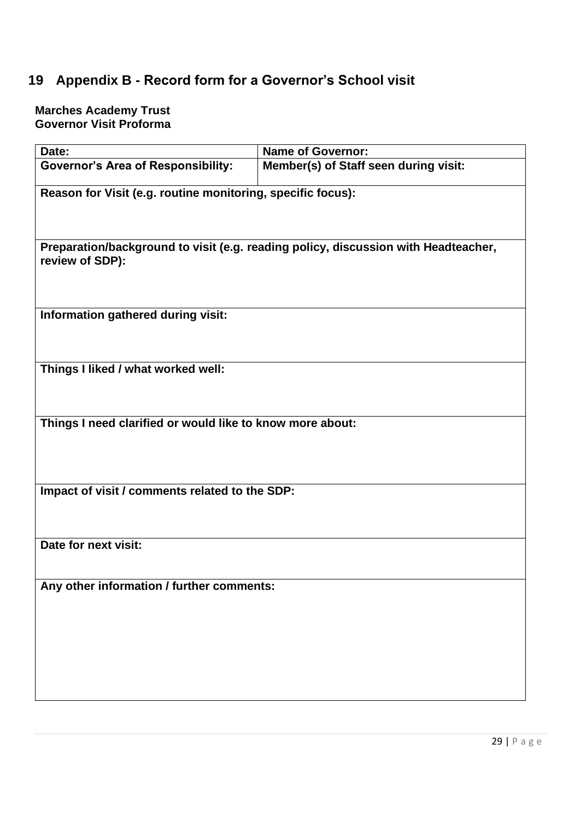# <span id="page-28-0"></span>**19 Appendix B - Record form for a Governor's School visit**

#### **Marches Academy Trust Governor Visit Proforma**

| Date:                                                       | <b>Name of Governor:</b>                                                           |  |
|-------------------------------------------------------------|------------------------------------------------------------------------------------|--|
| <b>Governor's Area of Responsibility:</b>                   | Member(s) of Staff seen during visit:                                              |  |
| Reason for Visit (e.g. routine monitoring, specific focus): |                                                                                    |  |
| review of SDP):                                             | Preparation/background to visit (e.g. reading policy, discussion with Headteacher, |  |
| Information gathered during visit:                          |                                                                                    |  |
| Things I liked / what worked well:                          |                                                                                    |  |
| Things I need clarified or would like to know more about:   |                                                                                    |  |
| Impact of visit / comments related to the SDP:              |                                                                                    |  |
| Date for next visit:                                        |                                                                                    |  |
| Any other information / further comments:                   |                                                                                    |  |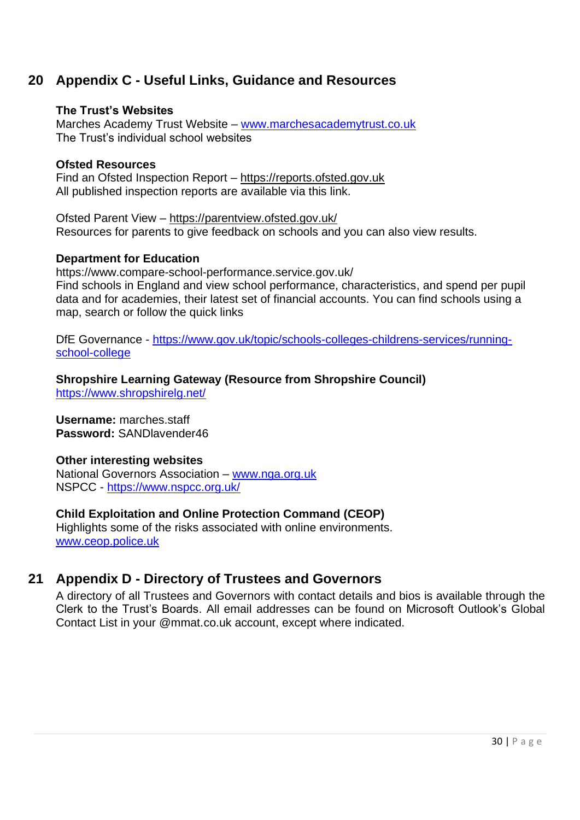## <span id="page-29-0"></span>**20 Appendix C - Useful Links, Guidance and Resources**

#### **The Trust's Websites**

Marches Academy Trust Website – [www.marchesacademytrust.co.uk](http://www.marchesacademytrust.co.uk/) The Trust's individual school websites

#### **Ofsted Resources**

Find an Ofsted Inspection Report – https://reports.ofsted.gov.uk All published inspection reports are available via this link.

Ofsted Parent View – <https://parentview.ofsted.gov.uk/> Resources for parents to give feedback on schools and you can also view results.

#### **Department for Education**

https://www.compare-school-performance.service.gov.uk/ Find schools in England and view school performance, characteristics, and spend per pupil data and for academies, their latest set of financial accounts. You can find schools using a map, search or follow the quick links

DfE Governance - [https://www.gov.uk/topic/schools-colleges-childrens-services/running](https://www.gov.uk/topic/schools-colleges-childrens-services/running-school-college)[school-college](https://www.gov.uk/topic/schools-colleges-childrens-services/running-school-college)

**Shropshire Learning Gateway (Resource from Shropshire Council)**  <https://www.shropshirelg.net/>

**Username:** marches.staff **Password:** SANDlavender46

#### **Other interesting websites**

National Governors Association – [www.nga.org.uk](http://www.nga.org.uk/) NSPCC - <https://www.nspcc.org.uk/>

#### **Child Exploitation and Online Protection Command (CEOP)**

Highlights some of the risks associated with online environments. [www.ceop.police.uk](http://www.ceop.police.uk/)

## <span id="page-29-1"></span>**21 Appendix D - Directory of Trustees and Governors**

A directory of all Trustees and Governors with contact details and bios is available through the Clerk to the Trust's Boards. All email addresses can be found on Microsoft Outlook's Global Contact List in your @mmat.co.uk account, except where indicated.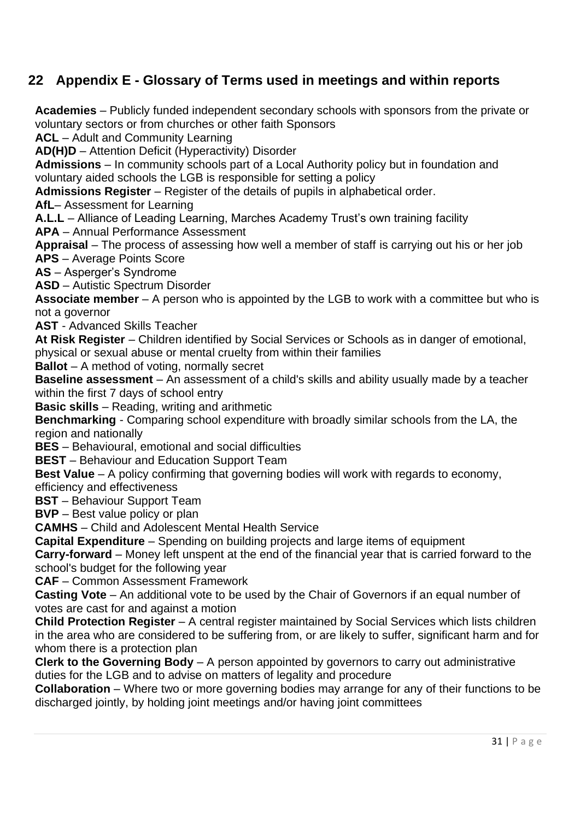## <span id="page-30-0"></span>**22 Appendix E - Glossary of Terms used in meetings and within reports**

**Academies** – Publicly funded independent secondary schools with sponsors from the private or voluntary sectors or from churches or other faith Sponsors

**ACL** – Adult and Community Learning

**AD(H)D** – Attention Deficit (Hyperactivity) Disorder

**Admissions** – In community schools part of a Local Authority policy but in foundation and voluntary aided schools the LGB is responsible for setting a policy

**Admissions Register** – Register of the details of pupils in alphabetical order.

**AfL**– Assessment for Learning

**A.L.L** – Alliance of Leading Learning, Marches Academy Trust's own training facility

**APA** – Annual Performance Assessment

**Appraisal** – The process of assessing how well a member of staff is carrying out his or her job **APS** – Average Points Score

**AS** – Asperger's Syndrome

**ASD** – Autistic Spectrum Disorder

**Associate member** – A person who is appointed by the LGB to work with a committee but who is not a governor

**AST** - Advanced Skills Teacher

**At Risk Register** – Children identified by Social Services or Schools as in danger of emotional, physical or sexual abuse or mental cruelty from within their families

**Ballot** – A method of voting, normally secret

**Baseline assessment** – An assessment of a child's skills and ability usually made by a teacher within the first 7 days of school entry

**Basic skills** – Reading, writing and arithmetic

**Benchmarking** - Comparing school expenditure with broadly similar schools from the LA, the region and nationally

**BES** – Behavioural, emotional and social difficulties

**BEST** – Behaviour and Education Support Team

**Best Value** – A policy confirming that governing bodies will work with regards to economy,

efficiency and effectiveness

**BST** – Behaviour Support Team

**BVP** – Best value policy or plan

**CAMHS** – Child and Adolescent Mental Health Service

**Capital Expenditure** – Spending on building projects and large items of equipment

**Carry-forward** – Money left unspent at the end of the financial year that is carried forward to the school's budget for the following year

**CAF** – Common Assessment Framework

**Casting Vote** – An additional vote to be used by the Chair of Governors if an equal number of votes are cast for and against a motion

**Child Protection Register** – A central register maintained by Social Services which lists children in the area who are considered to be suffering from, or are likely to suffer, significant harm and for whom there is a protection plan

**Clerk to the Governing Body** – A person appointed by governors to carry out administrative duties for the LGB and to advise on matters of legality and procedure

**Collaboration** – Where two or more governing bodies may arrange for any of their functions to be discharged jointly, by holding joint meetings and/or having joint committees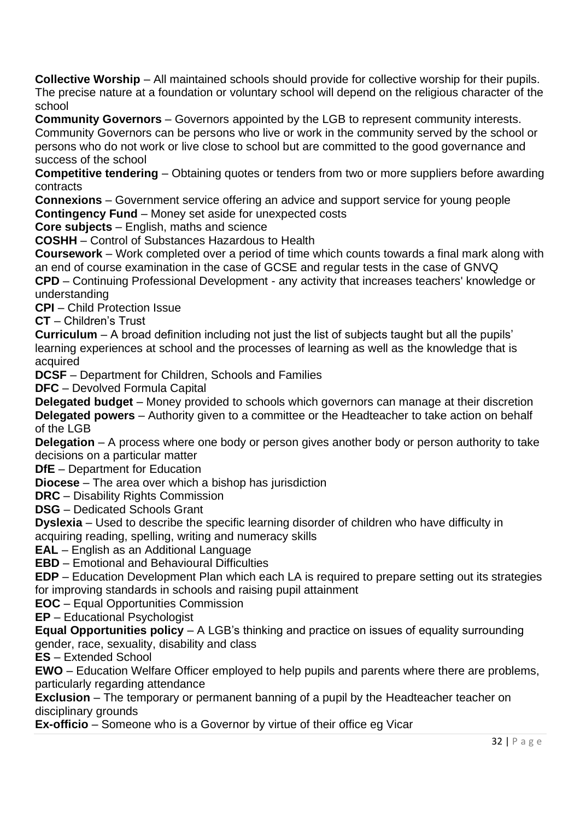**Collective Worship** – All maintained schools should provide for collective worship for their pupils. The precise nature at a foundation or voluntary school will depend on the religious character of the school

**Community Governors** – Governors appointed by the LGB to represent community interests. Community Governors can be persons who live or work in the community served by the school or persons who do not work or live close to school but are committed to the good governance and success of the school

**Competitive tendering** – Obtaining quotes or tenders from two or more suppliers before awarding contracts

**Connexions** – Government service offering an advice and support service for young people **Contingency Fund** – Money set aside for unexpected costs

**Core subjects** – English, maths and science

**COSHH** – Control of Substances Hazardous to Health

**Coursework** – Work completed over a period of time which counts towards a final mark along with an end of course examination in the case of GCSE and regular tests in the case of GNVQ

**CPD** – Continuing Professional Development - any activity that increases teachers' knowledge or understanding

**CPI** – Child Protection Issue

**CT** – Children's Trust

**Curriculum** – A broad definition including not just the list of subjects taught but all the pupils' learning experiences at school and the processes of learning as well as the knowledge that is acquired

**DCSF** – Department for Children, Schools and Families

**DFC** – Devolved Formula Capital

**Delegated budget** – Money provided to schools which governors can manage at their discretion **Delegated powers** – Authority given to a committee or the Headteacher to take action on behalf of the LGB

**Delegation** – A process where one body or person gives another body or person authority to take decisions on a particular matter

**DfE** – Department for Education

**Diocese** – The area over which a bishop has jurisdiction

**DRC** – Disability Rights Commission

**DSG** – Dedicated Schools Grant

**Dyslexia** – Used to describe the specific learning disorder of children who have difficulty in acquiring reading, spelling, writing and numeracy skills

**EAL** – English as an Additional Language

**EBD** – Emotional and Behavioural Difficulties

**EDP** – Education Development Plan which each LA is required to prepare setting out its strategies for improving standards in schools and raising pupil attainment

**EOC** – Equal Opportunities Commission

**EP** – Educational Psychologist

**Equal Opportunities policy** – A LGB's thinking and practice on issues of equality surrounding gender, race, sexuality, disability and class

**ES** – Extended School

**EWO** – Education Welfare Officer employed to help pupils and parents where there are problems, particularly regarding attendance

**Exclusion** – The temporary or permanent banning of a pupil by the Headteacher teacher on disciplinary grounds

**Ex-officio** – Someone who is a Governor by virtue of their office eg Vicar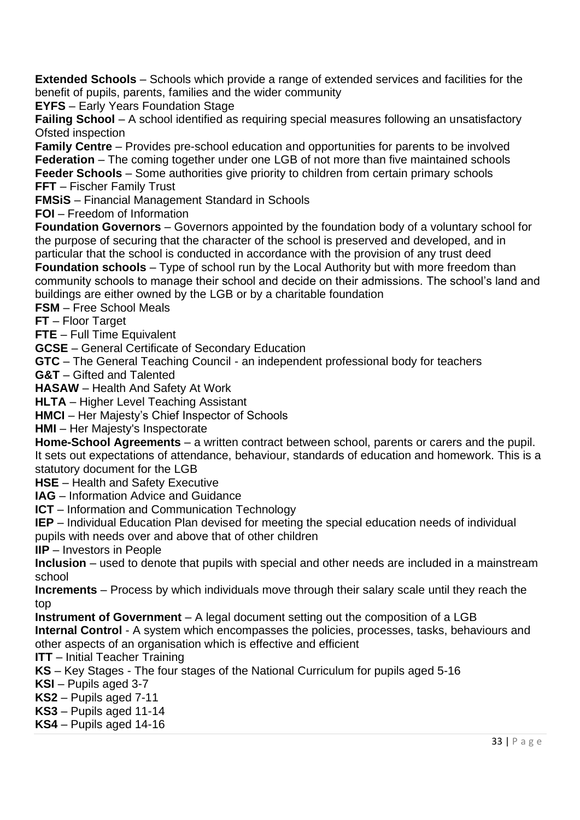**Extended Schools** – Schools which provide a range of extended services and facilities for the benefit of pupils, parents, families and the wider community

**EYFS** – Early Years Foundation Stage

**Failing School** – A school identified as requiring special measures following an unsatisfactory Ofsted inspection

**Family Centre** – Provides pre-school education and opportunities for parents to be involved **Federation** – The coming together under one LGB of not more than five maintained schools **Feeder Schools** – Some authorities give priority to children from certain primary schools **FFT** – Fischer Family Trust

**FMSiS** – Financial Management Standard in Schools

**FOI** – Freedom of Information

**Foundation Governors** – Governors appointed by the foundation body of a voluntary school for the purpose of securing that the character of the school is preserved and developed, and in particular that the school is conducted in accordance with the provision of any trust deed

**Foundation schools** – Type of school run by the Local Authority but with more freedom than community schools to manage their school and decide on their admissions. The school's land and buildings are either owned by the LGB or by a charitable foundation

**FSM** – Free School Meals

**FT** – Floor Target

**FTE** – Full Time Equivalent

**GCSE** – General Certificate of Secondary Education

**GTC** – The General Teaching Council - an independent professional body for teachers

**G&T** – Gifted and Talented

**HASAW** – Health And Safety At Work

**HLTA** – Higher Level Teaching Assistant

**HMCI** – Her Majesty's Chief Inspector of Schools

**HMI** – Her Majesty's Inspectorate

**Home-School Agreements** – a written contract between school, parents or carers and the pupil. It sets out expectations of attendance, behaviour, standards of education and homework. This is a statutory document for the LGB

**HSE** – Health and Safety Executive

**IAG** – Information Advice and Guidance

**ICT** – Information and Communication Technology

**IEP** – Individual Education Plan devised for meeting the special education needs of individual pupils with needs over and above that of other children

**IIP** – Investors in People

**Inclusion** – used to denote that pupils with special and other needs are included in a mainstream school

**Increments** – Process by which individuals move through their salary scale until they reach the top

**Instrument of Government** – A legal document setting out the composition of a LGB **Internal Control** - A system which encompasses the policies, processes, tasks, behaviours and

other aspects of an organisation which is effective and efficient

**ITT** – Initial Teacher Training

**KS** – Key Stages - The four stages of the National Curriculum for pupils aged 5-16

**KSI** – Pupils aged 3-7

**KS2** – Pupils aged 7-11

**KS3** – Pupils aged 11-14

**KS4** – Pupils aged 14-16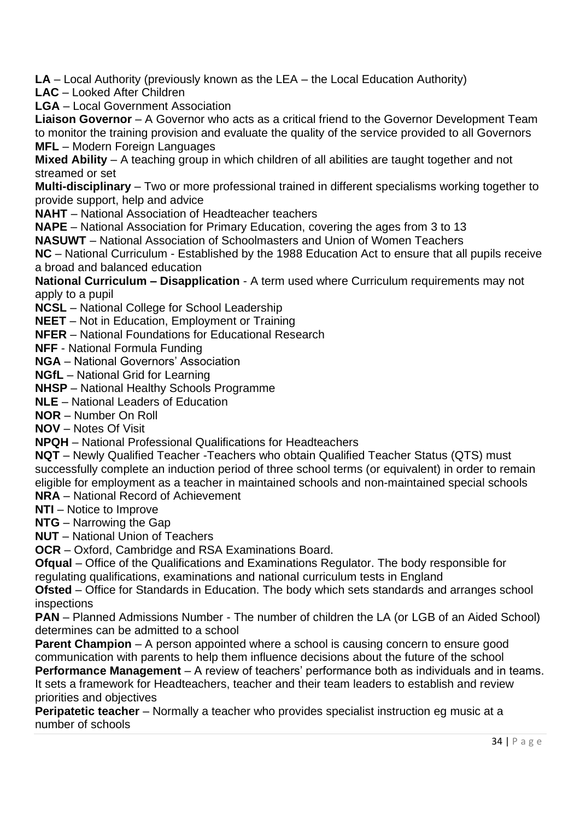**LA** – Local Authority (previously known as the LEA – the Local Education Authority)

**LAC** – Looked After Children

**LGA** – Local Government Association

**Liaison Governor** – A Governor who acts as a critical friend to the Governor Development Team to monitor the training provision and evaluate the quality of the service provided to all Governors **MFL** – Modern Foreign Languages

**Mixed Ability** – A teaching group in which children of all abilities are taught together and not streamed or set

**Multi-disciplinary** – Two or more professional trained in different specialisms working together to provide support, help and advice

**NAHT** – National Association of Headteacher teachers

**NAPE** – National Association for Primary Education, covering the ages from 3 to 13

**NASUWT** – National Association of Schoolmasters and Union of Women Teachers

**NC** – National Curriculum - Established by the 1988 Education Act to ensure that all pupils receive a broad and balanced education

**National Curriculum – Disapplication** - A term used where Curriculum requirements may not apply to a pupil

**NCSL** – National College for School Leadership

**NEET** – Not in Education, Employment or Training

**NFER** – National Foundations for Educational Research

**NFF** - National Formula Funding

**NGA** – National Governors' Association

**NGfL** – National Grid for Learning

**NHSP** – National Healthy Schools Programme

**NLE** – National Leaders of Education

**NOR** – Number On Roll

**NOV** – Notes Of Visit

**NPQH** – National Professional Qualifications for Headteachers

**NQT** – Newly Qualified Teacher -Teachers who obtain Qualified Teacher Status (QTS) must successfully complete an induction period of three school terms (or equivalent) in order to remain eligible for employment as a teacher in maintained schools and non-maintained special schools

**NRA** – National Record of Achievement

**NTI** – Notice to Improve

**NTG** – Narrowing the Gap

**NUT** – National Union of Teachers

**OCR** – Oxford, Cambridge and RSA Examinations Board.

**Ofqual** – Office of the Qualifications and Examinations Regulator. The body responsible for regulating qualifications, examinations and national curriculum tests in England

**Ofsted** – Office for Standards in Education. The body which sets standards and arranges school inspections

**PAN** – Planned Admissions Number - The number of children the LA (or LGB of an Aided School) determines can be admitted to a school

**Parent Champion** – A person appointed where a school is causing concern to ensure good communication with parents to help them influence decisions about the future of the school

**Performance Management** – A review of teachers' performance both as individuals and in teams. It sets a framework for Headteachers, teacher and their team leaders to establish and review priorities and objectives

**Peripatetic teacher** – Normally a teacher who provides specialist instruction eg music at a number of schools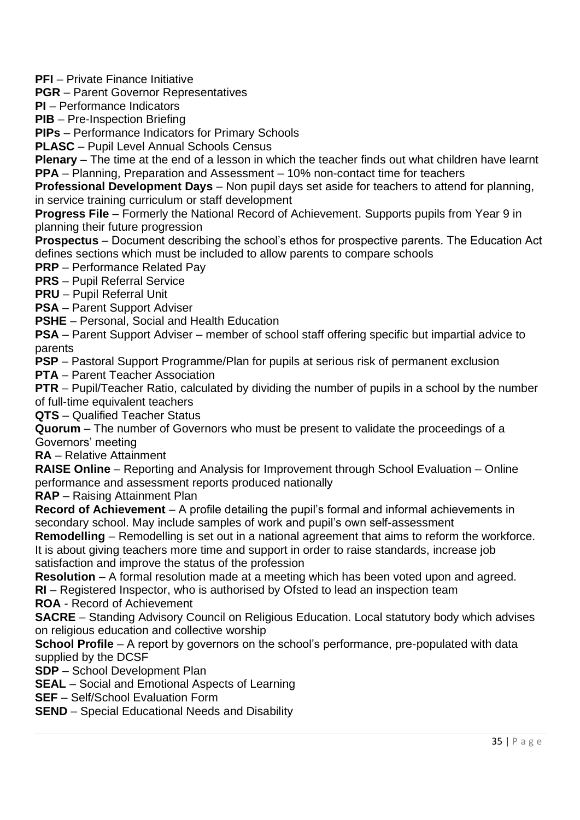**PFI** – Private Finance Initiative

**PGR** – Parent Governor Representatives

**PI** – Performance Indicators

**PIB** – Pre-Inspection Briefing

**PIPs** – Performance Indicators for Primary Schools

**PLASC** – Pupil Level Annual Schools Census

**Plenary** – The time at the end of a lesson in which the teacher finds out what children have learnt **PPA** – Planning, Preparation and Assessment – 10% non-contact time for teachers

**Professional Development Days** – Non pupil days set aside for teachers to attend for planning, in service training curriculum or staff development

**Progress File** – Formerly the National Record of Achievement. Supports pupils from Year 9 in planning their future progression

**Prospectus** – Document describing the school's ethos for prospective parents. The Education Act defines sections which must be included to allow parents to compare schools

**PRP** – Performance Related Pay

**PRS** – Pupil Referral Service

**PRU** – Pupil Referral Unit

**PSA** – Parent Support Adviser

**PSHE** – Personal, Social and Health Education

**PSA** – Parent Support Adviser – member of school staff offering specific but impartial advice to parents

**PSP** – Pastoral Support Programme/Plan for pupils at serious risk of permanent exclusion

**PTA** – Parent Teacher Association

**PTR** – Pupil/Teacher Ratio, calculated by dividing the number of pupils in a school by the number of full-time equivalent teachers

**QTS** – Qualified Teacher Status

**Quorum** – The number of Governors who must be present to validate the proceedings of a Governors' meeting

**RA** – Relative Attainment

**RAISE Online** – Reporting and Analysis for Improvement through School Evaluation – Online performance and assessment reports produced nationally

**RAP** – Raising Attainment Plan

**Record of Achievement** – A profile detailing the pupil's formal and informal achievements in secondary school. May include samples of work and pupil's own self-assessment

**Remodelling** – Remodelling is set out in a national agreement that aims to reform the workforce. It is about giving teachers more time and support in order to raise standards, increase job satisfaction and improve the status of the profession

**Resolution** – A formal resolution made at a meeting which has been voted upon and agreed.

**RI** – Registered Inspector, who is authorised by Ofsted to lead an inspection team

**ROA** - Record of Achievement

**SACRE** – Standing Advisory Council on Religious Education. Local statutory body which advises on religious education and collective worship

**School Profile** – A report by governors on the school's performance, pre-populated with data supplied by the DCSF

**SDP** – School Development Plan

**SEAL** – Social and Emotional Aspects of Learning

**SEF** – Self/School Evaluation Form

**SEND** – Special Educational Needs and Disability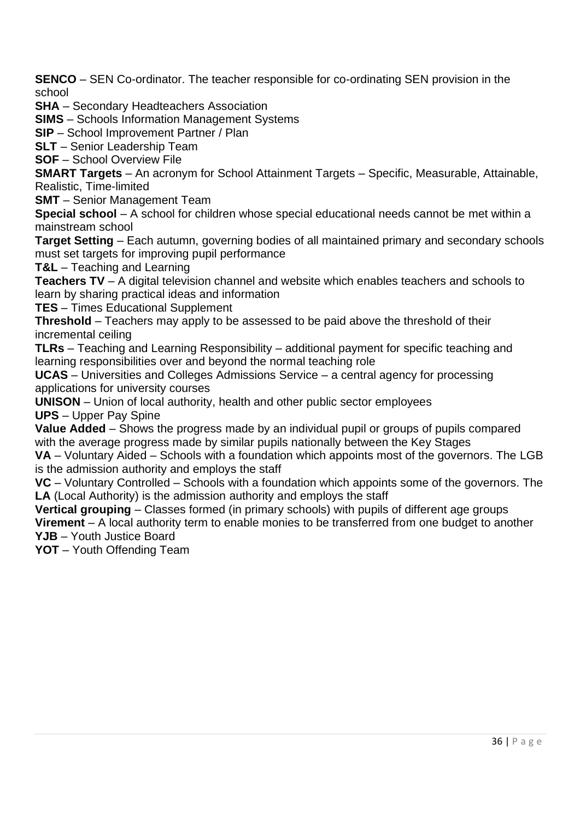**SENCO** – SEN Co-ordinator. The teacher responsible for co-ordinating SEN provision in the school

**SHA** – Secondary Headteachers Association

**SIMS** – Schools Information Management Systems

**SIP** – School Improvement Partner / Plan

**SLT** – Senior Leadership Team

**SOF** – School Overview File

**SMART Targets** – An acronym for School Attainment Targets – Specific, Measurable, Attainable, Realistic, Time-limited

**SMT** – Senior Management Team

**Special school** – A school for children whose special educational needs cannot be met within a mainstream school

**Target Setting** – Each autumn, governing bodies of all maintained primary and secondary schools must set targets for improving pupil performance

**T&L** – Teaching and Learning

**Teachers TV** – A digital television channel and website which enables teachers and schools to learn by sharing practical ideas and information

**TES** – Times Educational Supplement

**Threshold** – Teachers may apply to be assessed to be paid above the threshold of their incremental ceiling

**TLRs** – Teaching and Learning Responsibility – additional payment for specific teaching and learning responsibilities over and beyond the normal teaching role

**UCAS** – Universities and Colleges Admissions Service – a central agency for processing applications for university courses

**UNISON** – Union of local authority, health and other public sector employees **UPS** – Upper Pay Spine

**Value Added** – Shows the progress made by an individual pupil or groups of pupils compared with the average progress made by similar pupils nationally between the Key Stages

**VA** – Voluntary Aided – Schools with a foundation which appoints most of the governors. The LGB is the admission authority and employs the staff

**VC** – Voluntary Controlled – Schools with a foundation which appoints some of the governors. The **LA** (Local Authority) is the admission authority and employs the staff

**Vertical grouping** – Classes formed (in primary schools) with pupils of different age groups

**Virement** – A local authority term to enable monies to be transferred from one budget to another **YJB** – Youth Justice Board

**YOT** – Youth Offending Team